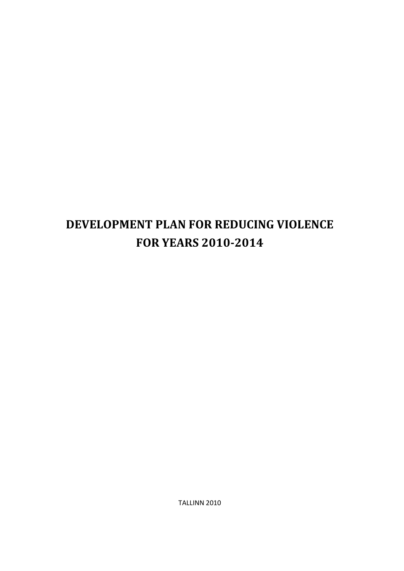# **DEVELOPMENT PLAN FOR REDUCING VIOLENCE FOR YEARS 2010-2014**

TALLINN 2010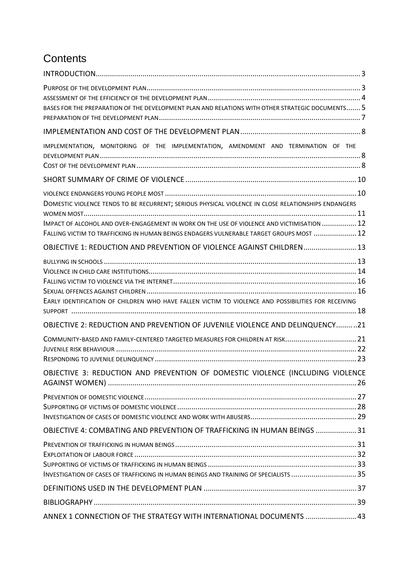# **Contents**

| BASES FOR THE PREPARATION OF THE DEVELOPMENT PLAN AND RELATIONS WITH OTHER STRATEGIC DOCUMENTS 5                                                                                                                                                                                              |
|-----------------------------------------------------------------------------------------------------------------------------------------------------------------------------------------------------------------------------------------------------------------------------------------------|
|                                                                                                                                                                                                                                                                                               |
| IMPLEMENTATION, MONITORING OF THE IMPLEMENTATION, AMENDMENT AND TERMINATION OF THE                                                                                                                                                                                                            |
|                                                                                                                                                                                                                                                                                               |
| DOMESTIC VIOLENCE TENDS TO BE RECURRENT; SERIOUS PHYSICAL VIOLENCE IN CLOSE RELATIONSHIPS ENDANGERS<br>IMPACT OF ALCOHOL AND OVER-ENGAGEMENT IN WORK ON THE USE OF VIOLENCE AND VICTIMISATION  12<br>FALLING VICTIM TO TRAFFICKING IN HUMAN BEINGS ENDAGERS VULNERABLE TARGET GROUPS MOST  12 |
| OBJECTIVE 1: REDUCTION AND PREVENTION OF VIOLENCE AGAINST CHILDREN 13                                                                                                                                                                                                                         |
| EARLY IDENTIFICATION OF CHILDREN WHO HAVE FALLEN VICTIM TO VIOLENCE AND POSSIBILITIES FOR RECEIVING                                                                                                                                                                                           |
| OBJECTIVE 2: REDUCTION AND PREVENTION OF JUVENILE VIOLENCE AND DELINQUENCY21                                                                                                                                                                                                                  |
| COMMUNITY-BASED AND FAMILY-CENTERED TARGETED MEASURES FOR CHILDREN AT RISK21                                                                                                                                                                                                                  |
| OBJECTIVE 3: REDUCTION AND PREVENTION OF DOMESTIC VIOLENCE (INCLUDING VIOLENCE                                                                                                                                                                                                                |
|                                                                                                                                                                                                                                                                                               |
| OBJECTIVE 4: COMBATING AND PREVENTION OF TRAFFICKING IN HUMAN BEINGS  31                                                                                                                                                                                                                      |
| INVESTIGATION OF CASES OF TRAFFICKING IN HUMAN BEINGS AND TRAINING OF SPECIALISTS  35                                                                                                                                                                                                         |
|                                                                                                                                                                                                                                                                                               |
|                                                                                                                                                                                                                                                                                               |
| ANNEX 1 CONNECTION OF THE STRATEGY WITH INTERNATIONAL DOCUMENTS  43                                                                                                                                                                                                                           |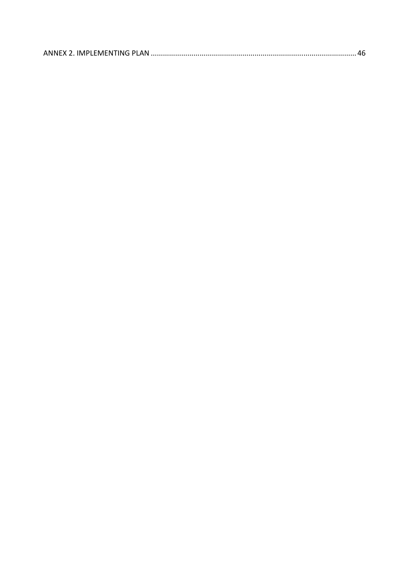|--|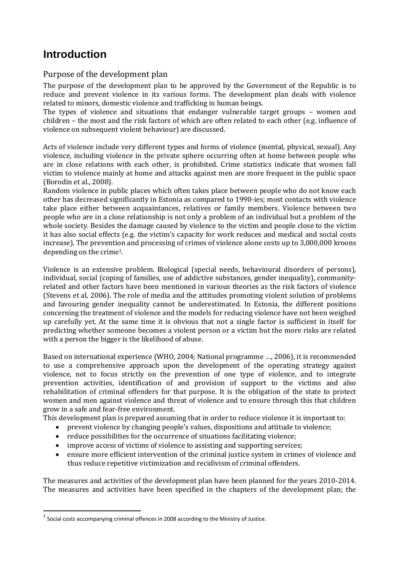# **Introduction**

# Purpose of the development plan

The purpose of the development plan to be approved by the Government of the Republic is to reduce and prevent violence in its various forms. The development plan deals with violence related to minors, domestic violence and trafficking in human beings.

The types of violence and situations that endanger vulnerable target groups – women and children – the most and the risk factors of which are often related to each other (e.g. influence of violence on subsequent violent behaviour) are discussed.

Acts of violence include very different types and forms of violence (mental, physical, sexual). Any violence, including violence in the private sphere occurring often at home between people who are in close relations with each other, is prohibited. Crime statistics indicate that women fall victim to violence mainly at home and attacks against men are more frequent in the public space (Borodin et al., 2008).

Random violence in public places which often takes place between people who do not know each other has decreased significantly in Estonia as compared to 1990-ies; most contacts with violence take place either between acquaintances, relatives or family members. Violence between two people who are in a close relationship is not only a problem of an individual but a problem of the whole society. Besides the damage caused by violence to the victim and people close to the victim it has also social effects (e.g. the victim's capacity for work reduces and medical and social costs increase). The prevention and processing of crimes of violence alone costs up to 3,000,000 kroons depending on the crime1.

Violence is an extensive problem. Biological (special needs, behavioural disorders of persons), individual, social (coping of families, use of addictive substances, gender inequality), communityrelated and other factors have been mentioned in various theories as the risk factors of violence (Stevens et al, 2006). The role of media and the attitudes promoting violent solution of problems and favouring gender inequality cannot be underestimated. In Estonia, the different positions concerning the treatment of violence and the models for reducing violence have not been weighed up carefully yet. At the same time it is obvious that not a single factor is sufficient in itself for predicting whether someone becomes a violent person or a victim but the more risks are related with a person the bigger is the likelihood of abuse.

Based on international experience (WHO, 2004; National programme …, 2006), it is recommended to use a comprehensive approach upon the development of the operating strategy against violence, not to focus strictly on the prevention of one type of violence, and to integrate prevention activities, identification of and provision of support to the victims and also rehabilitation of criminal offenders for that purpose. It is the obligation of the state to protect women and men against violence and threat of violence and to ensure through this that children grow in a safe and fear-free environment.

This development plan is prepared assuming that in order to reduce violence it is important to:

- prevent violence by changing people's values, dispositions and attitude to violence;
- reduce possibilities for the occurrence of situations facilitating violence;
- improve access of victims of violence to assisting and supporting services;
- ensure more efficient intervention of the criminal justice system in crimes of violence and thus reduce repetitive victimization and recidivism of criminal offenders.

The measures and activities of the development plan have been planned for the years 2010-2014. The measures and activities have been specified in the chapters of the development plan; the

 $\overline{\phantom{0}}$ 

 $^1$  Social costs accompanying criminal offences in 2008 according to the Ministry of Justice.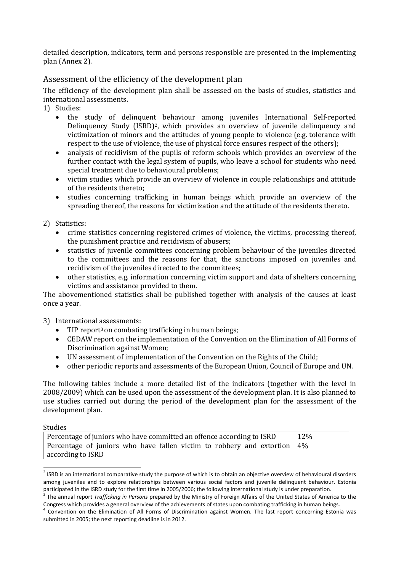detailed description, indicators, term and persons responsible are presented in the implementing plan (Annex 2).

# Assessment of the efficiency of the development plan

The efficiency of the development plan shall be assessed on the basis of studies, statistics and international assessments.

- 1) Studies:
	- the study of delinquent behaviour among juveniles International Self-reported Delinquency Study (ISRD)2, which provides an overview of juvenile delinquency and victimization of minors and the attitudes of young people to violence (e.g. tolerance with respect to the use of violence, the use of physical force ensures respect of the others);
	- analysis of recidivism of the pupils of reform schools which provides an overview of the further contact with the legal system of pupils, who leave a school for students who need special treatment due to behavioural problems;
	- victim studies which provide an overview of violence in couple relationships and attitude of the residents thereto;
	- studies concerning trafficking in human beings which provide an overview of the spreading thereof, the reasons for victimization and the attitude of the residents thereto.

2) Statistics:

- crime statistics concerning registered crimes of violence, the victims, processing thereof, the punishment practice and recidivism of abusers;
- statistics of juvenile committees concerning problem behaviour of the juveniles directed to the committees and the reasons for that, the sanctions imposed on juveniles and recidivism of the juveniles directed to the committees;
- other statistics, e.g. information concerning victim support and data of shelters concerning victims and assistance provided to them.

The abovementioned statistics shall be published together with analysis of the causes at least once a year.

3) International assessments:

- TIP report<sup>3</sup> on combating trafficking in human beings;
- CEDAW report on the implementation of the Convention on the Elimination of All Forms of Discrimination against Women;
- UN assessment of implementation of the Convention on the Rights of the Child;
- other periodic reports and assessments of the European Union, Council of Europe and UN.

The following tables include a more detailed list of the indicators (together with the level in 2008/2009) which can be used upon the assessment of the development plan. It is also planned to use studies carried out during the period of the development plan for the assessment of the development plan.

Studies

l

| Percentage of juniors who have committed an offence according to ISRD       | 12% |
|-----------------------------------------------------------------------------|-----|
| Percentage of juniors who have fallen victim to robbery and extortion $4\%$ |     |
| according to ISRD                                                           |     |

 $^2$  ISRD is an international comparative study the purpose of which is to obtain an objective overview of behavioural disorders among juveniles and to explore relationships between various social factors and juvenile delinquent behaviour. Estonia participated in the ISRD study for the first time in 2005/2006; the following international study is under preparation.<br><sup>3</sup> The annual report *Trafficking in Bersons prepared by the Ministry of Foreign Affairs of the Unite* 

The annual report *Trafficking in Persons* prepared by the Ministry of Foreign Affairs of the United States of America to the Congress which provides a general overview of the achievements of states upon combating trafficking in human beings.

<sup>4</sup> Convention on the Elimination of All Forms of Discrimination against Women. The last report concerning Estonia was submitted in 2005; the next reporting deadline is in 2012.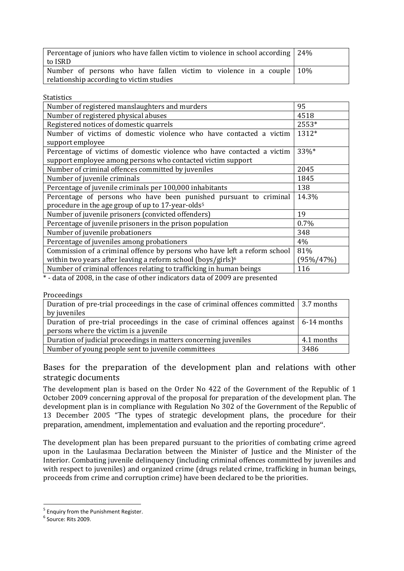| Percentage of juniors who have fallen victim to violence in school according 24% |  |
|----------------------------------------------------------------------------------|--|
| to ISRD                                                                          |  |
| Number of persons who have fallen victim to violence in a couple $10\%$          |  |
| relationship according to victim studies                                         |  |

**Statistics** 

| Number of registered manslaughters and murders                            | 95        |
|---------------------------------------------------------------------------|-----------|
| Number of registered physical abuses                                      | 4518      |
| Registered notices of domestic quarrels                                   | 2553*     |
| Number of victims of domestic violence who have contacted a victim        | 1312*     |
| support employee                                                          |           |
| Percentage of victims of domestic violence who have contacted a victim    | 33%*      |
| support employee among persons who contacted victim support               |           |
| Number of criminal offences committed by juveniles                        | 2045      |
| Number of juvenile criminals                                              | 1845      |
| Percentage of juvenile criminals per 100,000 inhabitants                  | 138       |
| Percentage of persons who have been punished pursuant to criminal         | 14.3%     |
| procedure in the age group of up to 17-year-olds <sup>5</sup>             |           |
| Number of juvenile prisoners (convicted offenders)                        | 19        |
| Percentage of juvenile prisoners in the prison population                 | 0.7%      |
| Number of juvenile probationers                                           | 348       |
| Percentage of juveniles among probationers                                | 4%        |
| Commission of a criminal offence by persons who have left a reform school | 81%       |
| within two years after leaving a reform school (boys/girls) <sup>6</sup>  | (95%/47%) |
| Number of criminal offences relating to trafficking in human beings       | 116       |
|                                                                           |           |

\* - data of 2008, in the case of other indicators data of 2009 are presented

Proceedings

| Duration of pre-trial proceedings in the case of criminal offences committed $\vert$ 3.7 months |            |
|-------------------------------------------------------------------------------------------------|------------|
| by juveniles                                                                                    |            |
| Duration of pre-trial proceedings in the case of criminal offences against $\vert$ 6-14 months  |            |
| persons where the victim is a juvenile                                                          |            |
| Duration of judicial proceedings in matters concerning juveniles                                | 4.1 months |
| Number of young people sent to juvenile committees                                              | 3486       |

# Bases for the preparation of the development plan and relations with other strategic documents

The development plan is based on the Order No 422 of the Government of the Republic of 1 October 2009 concerning approval of the proposal for preparation of the development plan. The development plan is in compliance with Regulation No 302 of the Government of the Republic of 13 December 2005 "The types of strategic development plans, the procedure for their preparation, amendment, implementation and evaluation and the reporting procedure".

The development plan has been prepared pursuant to the priorities of combating crime agreed upon in the Laulasmaa Declaration between the Minister of Justice and the Minister of the Interior. Combating juvenile delinquency (including criminal offences committed by juveniles and with respect to juveniles) and organized crime (drugs related crime, trafficking in human beings, proceeds from crime and corruption crime) have been declared to be the priorities.

<sup>&</sup>lt;sup>5</sup> Enquiry from the Punishment Register.

<sup>6</sup> Source: Rits 2009.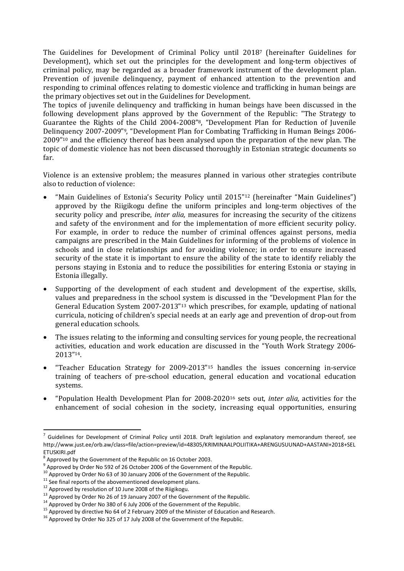The Guidelines for Development of Criminal Policy until 20187 (hereinafter Guidelines for Development), which set out the principles for the development and long-term objectives of criminal policy, may be regarded as a broader framework instrument of the development plan. Prevention of juvenile delinquency, payment of enhanced attention to the prevention and responding to criminal offences relating to domestic violence and trafficking in human beings are the primary objectives set out in the Guidelines for Development.

The topics of juvenile delinquency and trafficking in human beings have been discussed in the following development plans approved by the Government of the Republic: "The Strategy to Guarantee the Rights of the Child 2004-2008"8, "Development Plan for Reduction of Juvenile Delinquency 2007-2009"9, "Development Plan for Combating Trafficking in Human Beings 2006- 2009"10 and the efficiency thereof has been analysed upon the preparation of the new plan. The topic of domestic violence has not been discussed thoroughly in Estonian strategic documents so far.

Violence is an extensive problem; the measures planned in various other strategies contribute also to reduction of violence:

- "Main Guidelines of Estonia's Security Policy until 2015"12 (hereinafter "Main Guidelines") approved by the Riigikogu define the uniform principles and long-term objectives of the security policy and prescribe, *inter alia,* measures for increasing the security of the citizens and safety of the environment and for the implementation of more efficient security policy. For example, in order to reduce the number of criminal offences against persons, media campaigns are prescribed in the Main Guidelines for informing of the problems of violence in schools and in close relationships and for avoiding violence; in order to ensure increased security of the state it is important to ensure the ability of the state to identify reliably the persons staying in Estonia and to reduce the possibilities for entering Estonia or staying in Estonia illegally.
- Supporting of the development of each student and development of the expertise, skills, values and preparedness in the school system is discussed in the "Development Plan for the General Education System 2007-2013"13 which prescribes, for example, updating of national curricula, noticing of children's special needs at an early age and prevention of drop-out from general education schools.
- The issues relating to the informing and consulting services for young people, the recreational activities, education and work education are discussed in the "Youth Work Strategy 2006- 2013"14.
- "Teacher Education Strategy for 2009-2013"15 handles the issues concerning in-service training of teachers of pre-school education, general education and vocational education systems.
- "Population Health Development Plan for 2008-202016 sets out, *inter alia,* activities for the enhancement of social cohesion in the society, increasing equal opportunities, ensuring

<sup>&</sup>lt;sup>7</sup> Guidelines for Development of Criminal Policy until 2018. Draft legislation and explanatory memorandum thereof, see http://www.just.ee/orb.aw/class=file/action=preview/id=48305/KRIMINAALPOLIITIKA+ARENGUSUUNAD+AASTANI+2018+SEL ETUSKIRI.pdf

 $^8$  Approved by the Government of the Republic on 16 October 2003.

<sup>9</sup> Approved by Order No 592 of 26 October 2006 of the Government of the Republic.

<sup>&</sup>lt;sup>10</sup> Approved by Order No 63 of 30 January 2006 of the Government of the Republic.

 $11$  See final reports of the abovementioned development plans.

<sup>12</sup> Approved by resolution of 10 June 2008 of the Riigikogu.

<sup>&</sup>lt;sup>13</sup> Approved by Order No 26 of 19 January 2007 of the Government of the Republic.

<sup>&</sup>lt;sup>14</sup> Approved by Order No 380 of 6 July 2006 of the Government of the Republic.

<sup>&</sup>lt;sup>15</sup> Approved by directive No 64 of 2 February 2009 of the Minister of Education and Research.

<sup>&</sup>lt;sup>16</sup> Approved by Order No 325 of 17 July 2008 of the Government of the Republic.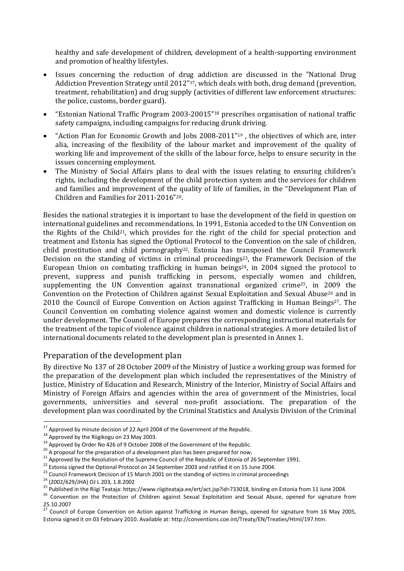healthy and safe development of children, development of a health-supporting environment and promotion of healthy lifestyles.

- Issues concerning the reduction of drug addiction are discussed in the "National Drug Addiction Prevention Strategy until 2012"17, which deals with both, drug demand (prevention, treatment, rehabilitation) and drug supply (activities of different law enforcement structures: the police, customs, border guard).
- "Estonian National Traffic Program 2003-20015"18 prescribes organisation of national traffic safety campaigns, including campaigns for reducing drunk driving.
- "Action Plan for Economic Growth and Jobs 2008-2011"19 , the objectives of which are, inter alia, increasing of the flexibility of the labour market and improvement of the quality of working life and improvement of the skills of the labour force, helps to ensure security in the issues concerning employment.
- The Ministry of Social Affairs plans to deal with the issues relating to ensuring children's rights, including the development of the child protection system and the services for children and families and improvement of the quality of life of families, in the "Development Plan of Children and Families for 2011-2016"20.

Besides the national strategies it is important to base the development of the field in question on international guidelines and recommendations. In 1991, Estonia acceded to the UN Convention on the Rights of the Child<sup>21</sup>, which provides for the right of the child for special protection and treatment and Estonia has signed the Optional Protocol to the Convention on the sale of children, child prostitution and child pornography<sup>22</sup>. Estonia has transposed the Council Framework Decision on the standing of victims in criminal proceedings<sup>23</sup>, the Framework Decision of the European Union on combating trafficking in human beings $24$ , in 2004 signed the protocol to prevent, suppress and punish trafficking in persons, especially women and children, supplementing the UN Convention against transnational organized crime25, in 2009 the Convention on the Protection of Children against Sexual Exploitation and Sexual Abuse26 and in 2010 the Council of Europe Convention on Action against Trafficking in Human Beings<sup>27</sup>. The Council Convention on combating violence against women and domestic violence is currently under development. The Council of Europe prepares the corresponding instructional materials for the treatment of the topic of violence against children in national strategies. A more detailed list of international documents related to the development plan is presented in Annex 1.

### Preparation of the development plan

By directive No 137 of 28 October 2009 of the Ministry of Justice a working group was formed for the preparation of the development plan which included the representatives of the Ministry of Justice, Ministry of Education and Research, Ministry of the Interior, Ministry of Social Affairs and Ministry of Foreign Affairs and agencies within the area of government of the Ministries, local governments, universities and several non-profit associations. The preparation of the development plan was coordinated by the Criminal Statistics and Analysis Division of the Criminal

l

 $17$  Approved by minute decision of 22 April 2004 of the Government of the Republic.

<sup>&</sup>lt;sup>18</sup> Approved by the Riigikogu on 23 May 2003.

<sup>&</sup>lt;sup>19</sup> Approved by Order No 426 of 9 October 2008 of the Government of the Republic.

<sup>20</sup> A proposal for the preparation of a development plan has been prepared for now**.**

<sup>&</sup>lt;sup>21</sup> Approved by the Resolution of the Supreme Council of the Republic of Estonia of 26 September 1991.

<sup>22</sup> Estonia signed the Optional Protocol on 24 September 2003 and ratified it on 15 June 2004.

<sup>&</sup>lt;sup>23</sup> Council Framework Decision of 15 March 2001 on the standing of victims in criminal proceedings

<sup>24</sup> (2002/629/JHA) OJ L 203, 1.8.2002

<sup>25</sup> Published in the Riigi Teataja: https://www.riigiteataja.ee/ert/act.jsp?id=733018, binding on Estonia from 11 June 2004.

<sup>&</sup>lt;sup>26</sup> Convention on the Protection of Children against Sexual Exploitation and Sexual Abuse, opened for signature from 25.10.2007

 $^{27}$  Council of Europe Convention on Action against Trafficking in Human Beings, opened for signature from 16 May 2005, Estonia signed it on 03 February 2010. Available at: http://conventions.coe.int/Treaty/EN/Treaties/Html/197.htm.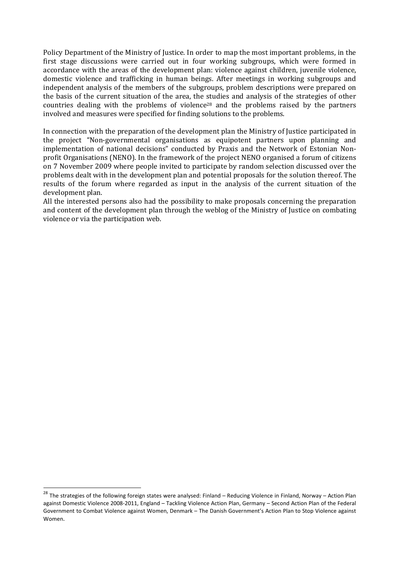Policy Department of the Ministry of Justice. In order to map the most important problems, in the first stage discussions were carried out in four working subgroups, which were formed in accordance with the areas of the development plan: violence against children, juvenile violence, domestic violence and trafficking in human beings. After meetings in working subgroups and independent analysis of the members of the subgroups, problem descriptions were prepared on the basis of the current situation of the area, the studies and analysis of the strategies of other countries dealing with the problems of violence<sup>28</sup> and the problems raised by the partners involved and measures were specified for finding solutions to the problems.

In connection with the preparation of the development plan the Ministry of Justice participated in the project "Non-governmental organisations as equipotent partners upon planning and implementation of national decisions" conducted by Praxis and the Network of Estonian Nonprofit Organisations (NENO). In the framework of the project NENO organised a forum of citizens on 7 November 2009 where people invited to participate by random selection discussed over the problems dealt with in the development plan and potential proposals for the solution thereof. The results of the forum where regarded as input in the analysis of the current situation of the development plan.

All the interested persons also had the possibility to make proposals concerning the preparation and content of the development plan through the weblog of the Ministry of Justice on combating violence or via the participation web.

<sup>&</sup>lt;sup>28</sup> The strategies of the following foreign states were analysed: Finland – Reducing Violence in Finland, Norway – Action Plan against Domestic Violence 2008-2011, England – Tackling Violence Action Plan, Germany – Second Action Plan of the Federal Government to Combat Violence against Women, Denmark – The Danish Government's Action Plan to Stop Violence against Women.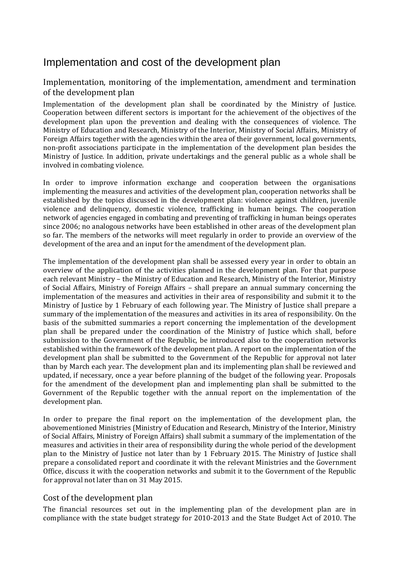# Implementation and cost of the development plan

# Implementation, monitoring of the implementation, amendment and termination of the development plan

Implementation of the development plan shall be coordinated by the Ministry of Justice. Cooperation between different sectors is important for the achievement of the objectives of the development plan upon the prevention and dealing with the consequences of violence. The Ministry of Education and Research, Ministry of the Interior, Ministry of Social Affairs, Ministry of Foreign Affairs together with the agencies within the area of their government, local governments, non-profit associations participate in the implementation of the development plan besides the Ministry of Justice. In addition, private undertakings and the general public as a whole shall be involved in combating violence.

In order to improve information exchange and cooperation between the organisations implementing the measures and activities of the development plan, cooperation networks shall be established by the topics discussed in the development plan: violence against children, juvenile violence and delinquency, domestic violence, trafficking in human beings. The cooperation network of agencies engaged in combating and preventing of trafficking in human beings operates since 2006; no analogous networks have been established in other areas of the development plan so far. The members of the networks will meet regularly in order to provide an overview of the development of the area and an input for the amendment of the development plan.

The implementation of the development plan shall be assessed every year in order to obtain an overview of the application of the activities planned in the development plan. For that purpose each relevant Ministry – the Ministry of Education and Research, Ministry of the Interior, Ministry of Social Affairs, Ministry of Foreign Affairs – shall prepare an annual summary concerning the implementation of the measures and activities in their area of responsibility and submit it to the Ministry of Justice by 1 February of each following year. The Ministry of Justice shall prepare a summary of the implementation of the measures and activities in its area of responsibility. On the basis of the submitted summaries a report concerning the implementation of the development plan shall be prepared under the coordination of the Ministry of Justice which shall, before submission to the Government of the Republic, be introduced also to the cooperation networks established within the framework of the development plan. A report on the implementation of the development plan shall be submitted to the Government of the Republic for approval not later than by March each year. The development plan and its implementing plan shall be reviewed and updated, if necessary, once a year before planning of the budget of the following year. Proposals for the amendment of the development plan and implementing plan shall be submitted to the Government of the Republic together with the annual report on the implementation of the development plan.

In order to prepare the final report on the implementation of the development plan, the abovementioned Ministries (Ministry of Education and Research, Ministry of the Interior, Ministry of Social Affairs, Ministry of Foreign Affairs) shall submit a summary of the implementation of the measures and activities in their area of responsibility during the whole period of the development plan to the Ministry of Justice not later than by 1 February 2015. The Ministry of Justice shall prepare a consolidated report and coordinate it with the relevant Ministries and the Government Office, discuss it with the cooperation networks and submit it to the Government of the Republic for approval not later than on 31 May 2015.

# Cost of the development plan

The financial resources set out in the implementing plan of the development plan are in compliance with the state budget strategy for 2010-2013 and the State Budget Act of 2010. The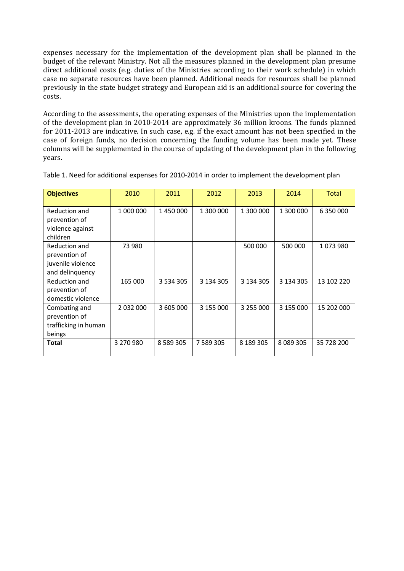expenses necessary for the implementation of the development plan shall be planned in the budget of the relevant Ministry. Not all the measures planned in the development plan presume direct additional costs (e.g. duties of the Ministries according to their work schedule) in which case no separate resources have been planned. Additional needs for resources shall be planned previously in the state budget strategy and European aid is an additional source for covering the costs.

According to the assessments, the operating expenses of the Ministries upon the implementation of the development plan in 2010-2014 are approximately 36 million kroons. The funds planned for 2011-2013 are indicative. In such case, e.g. if the exact amount has not been specified in the case of foreign funds, no decision concerning the funding volume has been made yet. These columns will be supplemented in the course of updating of the development plan in the following years.

| <b>Objectives</b>                                                      | 2010      | 2011          | 2012          | 2013      | 2014          | <b>Total</b> |
|------------------------------------------------------------------------|-----------|---------------|---------------|-----------|---------------|--------------|
| Reduction and<br>prevention of<br>violence against<br>children         | 1 000 000 | 1450000       | 1 300 000     | 1 300 000 | 1 300 000     | 6 350 000    |
| Reduction and<br>prevention of<br>juvenile violence<br>and delinquency | 73 980    |               |               | 500 000   | 500 000       | 1073980      |
| Reduction and<br>prevention of<br>domestic violence                    | 165 000   | 3 5 3 4 3 0 5 | 3 134 305     | 3 134 305 | 3 134 305     | 13 102 220   |
| Combating and<br>prevention of<br>trafficking in human<br>beings       | 2 032 000 | 3 605 000     | 3 155 000     | 3 255 000 | 3 155 000     | 15 202 000   |
| Total                                                                  | 3 270 980 | 8 5 8 9 3 0 5 | 7 5 8 9 3 0 5 | 8 189 305 | 8 0 8 9 3 0 5 | 35 728 200   |

Table 1. Need for additional expenses for 2010-2014 in order to implement the development plan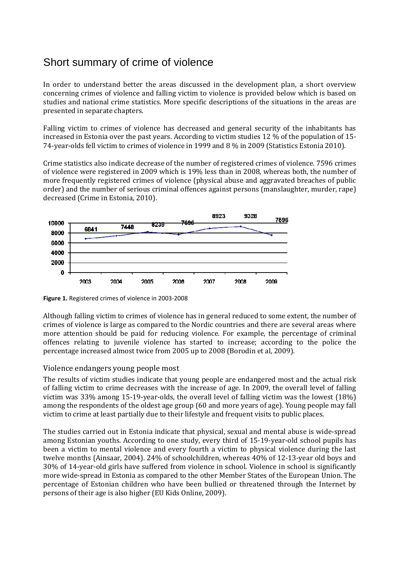# Short summary of crime of violence

In order to understand better the areas discussed in the development plan, a short overview concerning crimes of violence and falling victim to violence is provided below which is based on studies and national crime statistics. More specific descriptions of the situations in the areas are presented in separate chapters.

Falling victim to crimes of violence has decreased and general security of the inhabitants has increased in Estonia over the past years. According to victim studies 12 % of the population of 15- 74-year-olds fell victim to crimes of violence in 1999 and 8 % in 2009 (Statistics Estonia 2010).

Crime statistics also indicate decrease of the number of registered crimes of violence. 7596 crimes of violence were registered in 2009 which is 19% less than in 2008, whereas both, the number of more frequently registered crimes of violence (physical abuse and aggravated breaches of public order) and the number of serious criminal offences against persons (manslaughter, murder, rape) decreased (Crime in Estonia, 2010).



**Figure 1.** Registered crimes of violence in 2003-2008

Although falling victim to crimes of violence has in general reduced to some extent, the number of crimes of violence is large as compared to the Nordic countries and there are several areas where more attention should be paid for reducing violence. For example, the percentage of criminal offences relating to juvenile violence has started to increase; according to the police the percentage increased almost twice from 2005 up to 2008 (Borodin et al, 2009).

# Violence endangers young people most

The results of victim studies indicate that young people are endangered most and the actual risk of falling victim to crime decreases with the increase of age. In 2009, the overall level of falling victim was 33% among 15-19-year-olds, the overall level of falling victim was the lowest (18%) among the respondents of the oldest age group (60 and more years of age). Young people may fall victim to crime at least partially due to their lifestyle and frequent visits to public places.

The studies carried out in Estonia indicate that physical, sexual and mental abuse is wide-spread among Estonian youths. According to one study, every third of 15-19-year-old school pupils has been a victim to mental violence and every fourth a victim to physical violence during the last twelve months (Ainsaar, 2004). 24% of schoolchildren, whereas 40% of 12-13-year old boys and 30% of 14-year-old girls have suffered from violence in school. Violence in school is significantly more wide-spread in Estonia as compared to the other Member States of the European Union. The percentage of Estonian children who have been bullied or threatened through the Internet by persons of their age is also higher (EU Kids Online, 2009).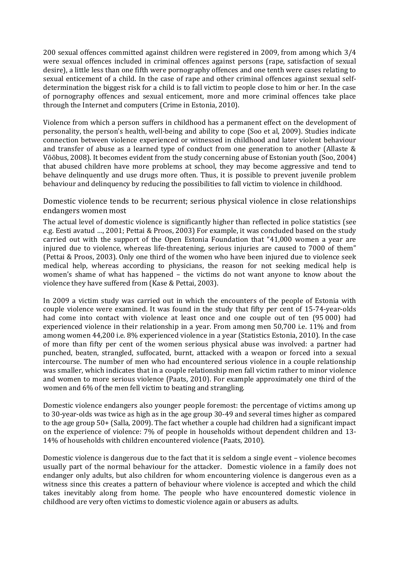200 sexual offences committed against children were registered in 2009, from among which 3/4 were sexual offences included in criminal offences against persons (rape, satisfaction of sexual desire), a little less than one fifth were pornography offences and one tenth were cases relating to sexual enticement of a child. In the case of rape and other criminal offences against sexual selfdetermination the biggest risk for a child is to fall victim to people close to him or her. In the case of pornography offences and sexual enticement, more and more criminal offences take place through the Internet and computers (Crime in Estonia, 2010).

Violence from which a person suffers in childhood has a permanent effect on the development of personality, the person's health, well-being and ability to cope (Soo et al, 2009). Studies indicate connection between violence experienced or witnessed in childhood and later violent behaviour and transfer of abuse as a learned type of conduct from one generation to another (Allaste & Võõbus, 2008). It becomes evident from the study concerning abuse of Estonian youth (Soo, 2004) that abused children have more problems at school, they may become aggressive and tend to behave delinquently and use drugs more often. Thus, it is possible to prevent juvenile problem behaviour and delinquency by reducing the possibilities to fall victim to violence in childhood.

Domestic violence tends to be recurrent; serious physical violence in close relationships endangers women most

The actual level of domestic violence is significantly higher than reflected in police statistics (see e.g. Eesti avatud …, 2001; Pettai & Proos, 2003) For example, it was concluded based on the study carried out with the support of the Open Estonia Foundation that "41,000 women a year are injured due to violence, whereas life-threatening, serious injuries are caused to 7000 of them" (Pettai & Proos, 2003). Only one third of the women who have been injured due to violence seek medical help, whereas according to physicians, the reason for not seeking medical help is women's shame of what has happened – the victims do not want anyone to know about the violence they have suffered from (Kase & Pettai, 2003).

In 2009 a victim study was carried out in which the encounters of the people of Estonia with couple violence were examined. It was found in the study that fifty per cent of 15-74-year-olds had come into contact with violence at least once and one couple out of ten (95 000) had experienced violence in their relationship in a year. From among men 50,700 i.e. 11% and from among women 44,200 i.e. 8% experienced violence in a year (Statistics Estonia, 2010). In the case of more than fifty per cent of the women serious physical abuse was involved: a partner had punched, beaten, strangled, suffocated, burnt, attacked with a weapon or forced into a sexual intercourse. The number of men who had encountered serious violence in a couple relationship was smaller, which indicates that in a couple relationship men fall victim rather to minor violence and women to more serious violence (Paats, 2010). For example approximately one third of the women and 6% of the men fell victim to beating and strangling.

Domestic violence endangers also younger people foremost: the percentage of victims among up to 30-year-olds was twice as high as in the age group 30-49 and several times higher as compared to the age group 50+ (Salla, 2009). The fact whether a couple had children had a significant impact on the experience of violence: 7% of people in households without dependent children and 13- 14% of households with children encountered violence (Paats, 2010).

Domestic violence is dangerous due to the fact that it is seldom a single event – violence becomes usually part of the normal behaviour for the attacker. Domestic violence in a family does not endanger only adults, but also children for whom encountering violence is dangerous even as a witness since this creates a pattern of behaviour where violence is accepted and which the child takes inevitably along from home. The people who have encountered domestic violence in childhood are very often victims to domestic violence again or abusers as adults.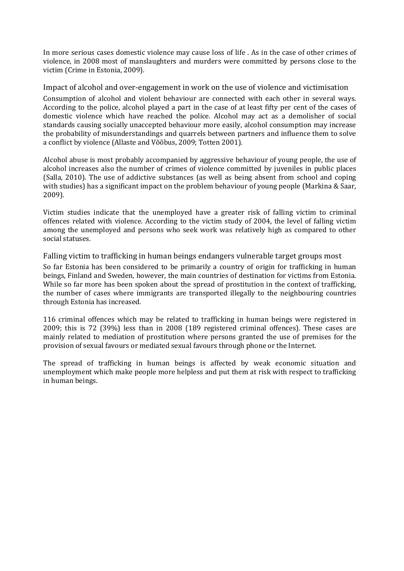In more serious cases domestic violence may cause loss of life . As in the case of other crimes of violence, in 2008 most of manslaughters and murders were committed by persons close to the victim (Crime in Estonia, 2009).

Impact of alcohol and over-engagement in work on the use of violence and victimisation

Consumption of alcohol and violent behaviour are connected with each other in several ways. According to the police, alcohol played a part in the case of at least fifty per cent of the cases of domestic violence which have reached the police. Alcohol may act as a demolisher of social standards causing socially unaccepted behaviour more easily, alcohol consumption may increase the probability of misunderstandings and quarrels between partners and influence them to solve a conflict by violence (Allaste and Võõbus, 2009; Totten 2001).

Alcohol abuse is most probably accompanied by aggressive behaviour of young people, the use of alcohol increases also the number of crimes of violence committed by juveniles in public places (Salla, 2010). The use of addictive substances (as well as being absent from school and coping with studies) has a significant impact on the problem behaviour of young people (Markina & Saar, 2009).

Victim studies indicate that the unemployed have a greater risk of falling victim to criminal offences related with violence. According to the victim study of 2004, the level of falling victim among the unemployed and persons who seek work was relatively high as compared to other social statuses.

Falling victim to trafficking in human beings endangers vulnerable target groups most

So far Estonia has been considered to be primarily a country of origin for trafficking in human beings, Finland and Sweden, however, the main countries of destination for victims from Estonia. While so far more has been spoken about the spread of prostitution in the context of trafficking, the number of cases where immigrants are transported illegally to the neighbouring countries through Estonia has increased.

116 criminal offences which may be related to trafficking in human beings were registered in 2009; this is 72 (39%) less than in 2008 (189 registered criminal offences). These cases are mainly related to mediation of prostitution where persons granted the use of premises for the provision of sexual favours or mediated sexual favours through phone or the Internet.

The spread of trafficking in human beings is affected by weak economic situation and unemployment which make people more helpless and put them at risk with respect to trafficking in human beings.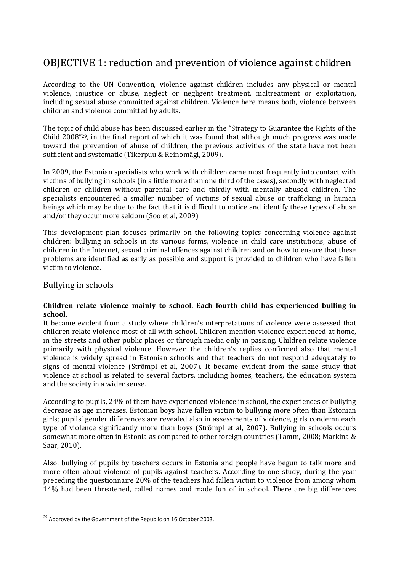# OBJECTIVE 1: reduction and prevention of violence against children

According to the UN Convention, violence against children includes any physical or mental violence, injustice or abuse, neglect or negligent treatment, maltreatment or exploitation, including sexual abuse committed against children. Violence here means both, violence between children and violence committed by adults.

The topic of child abuse has been discussed earlier in the "Strategy to Guarantee the Rights of the Child 2008"29, in the final report of which it was found that although much progress was made toward the prevention of abuse of children, the previous activities of the state have not been sufficient and systematic (Tikerpuu & Reinomägi, 2009).

In 2009, the Estonian specialists who work with children came most frequently into contact with victims of bullying in schools (in a little more than one third of the cases), secondly with neglected children or children without parental care and thirdly with mentally abused children. The specialists encountered a smaller number of victims of sexual abuse or trafficking in human beings which may be due to the fact that it is difficult to notice and identify these types of abuse and/or they occur more seldom (Soo et al, 2009).

This development plan focuses primarily on the following topics concerning violence against children: bullying in schools in its various forms, violence in child care institutions, abuse of children in the Internet, sexual criminal offences against children and on how to ensure that these problems are identified as early as possible and support is provided to children who have fallen victim to violence.

### Bullying in schools

l

#### **Children relate violence mainly to school. Each fourth child has experienced bulling in school.**

It became evident from a study where children's interpretations of violence were assessed that children relate violence most of all with school. Children mention violence experienced at home, in the streets and other public places or through media only in passing. Children relate violence primarily with physical violence. However, the children's replies confirmed also that mental violence is widely spread in Estonian schools and that teachers do not respond adequately to signs of mental violence (Strömpl et al, 2007). It became evident from the same study that violence at school is related to several factors, including homes, teachers, the education system and the society in a wider sense.

According to pupils, 24% of them have experienced violence in school, the experiences of bullying decrease as age increases. Estonian boys have fallen victim to bullying more often than Estonian girls; pupils' gender differences are revealed also in assessments of violence, girls condemn each type of violence significantly more than boys (Strömpl et al, 2007). Bullying in schools occurs somewhat more often in Estonia as compared to other foreign countries (Tamm, 2008; Markina & Saar, 2010).

Also, bullying of pupils by teachers occurs in Estonia and people have begun to talk more and more often about violence of pupils against teachers. According to one study, during the year preceding the questionnaire 20% of the teachers had fallen victim to violence from among whom 14% had been threatened, called names and made fun of in school. There are big differences

 $^{29}$  Approved by the Government of the Republic on 16 October 2003.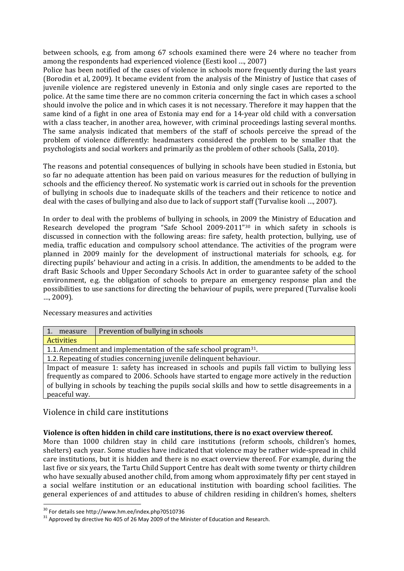between schools, e.g. from among 67 schools examined there were 24 where no teacher from among the respondents had experienced violence (Eesti kool …, 2007)

Police has been notified of the cases of violence in schools more frequently during the last years (Borodin et al, 2009). It became evident from the analysis of the Ministry of Justice that cases of juvenile violence are registered unevenly in Estonia and only single cases are reported to the police. At the same time there are no common criteria concerning the fact in which cases a school should involve the police and in which cases it is not necessary. Therefore it may happen that the same kind of a fight in one area of Estonia may end for a 14-year old child with a conversation with a class teacher, in another area, however, with criminal proceedings lasting several months. The same analysis indicated that members of the staff of schools perceive the spread of the problem of violence differently: headmasters considered the problem to be smaller that the psychologists and social workers and primarily as the problem of other schools (Salla, 2010).

The reasons and potential consequences of bullying in schools have been studied in Estonia, but so far no adequate attention has been paid on various measures for the reduction of bullying in schools and the efficiency thereof. No systematic work is carried out in schools for the prevention of bullying in schools due to inadequate skills of the teachers and their reticence to notice and deal with the cases of bullying and also due to lack of support staff (Turvalise kooli …, 2007).

In order to deal with the problems of bullying in schools, in 2009 the Ministry of Education and Research developed the program "Safe School 2009-2011"30 in which safety in schools is discussed in connection with the following areas: fire safety, health protection, bullying, use of media, traffic education and compulsory school attendance. The activities of the program were planned in 2009 mainly for the development of instructional materials for schools, e.g. for directing pupils' behaviour and acting in a crisis. In addition, the amendments to be added to the draft Basic Schools and Upper Secondary Schools Act in order to guarantee safety of the school environment, e.g. the obligation of schools to prepare an emergency response plan and the possibilities to use sanctions for directing the behaviour of pupils, were prepared (Turvalise kooli …, 2009).

Necessary measures and activities

| 1. measure                                                                                       | Prevention of bullying in schools |  |
|--------------------------------------------------------------------------------------------------|-----------------------------------|--|
| <b>Activities</b>                                                                                |                                   |  |
| 1.1. Amendment and implementation of the safe school program <sup>31</sup> .                     |                                   |  |
| 1.2. Repeating of studies concerning juvenile delinquent behaviour.                              |                                   |  |
| Impact of measure 1: safety has increased in schools and pupils fall victim to bullying less     |                                   |  |
| frequently as compared to 2006. Schools have started to engage more actively in the reduction    |                                   |  |
| of bullying in schools by teaching the pupils social skills and how to settle disagreements in a |                                   |  |
| peaceful way.                                                                                    |                                   |  |

# Violence in child care institutions

#### **Violence is often hidden in child care institutions, there is no exact overview thereof.**

More than 1000 children stay in child care institutions (reform schools, children's homes, shelters) each year. Some studies have indicated that violence may be rather wide-spread in child care institutions, but it is hidden and there is no exact overview thereof. For example, during the last five or six years, the Tartu Child Support Centre has dealt with some twenty or thirty children who have sexually abused another child, from among whom approximately fifty per cent stayed in a social welfare institution or an educational institution with boarding school facilities. The general experiences of and attitudes to abuse of children residing in children's homes, shelters

<sup>30</sup> For details see http://www.hm.ee/index.php?0510736

 $31$  Approved by directive No 405 of 26 May 2009 of the Minister of Education and Research.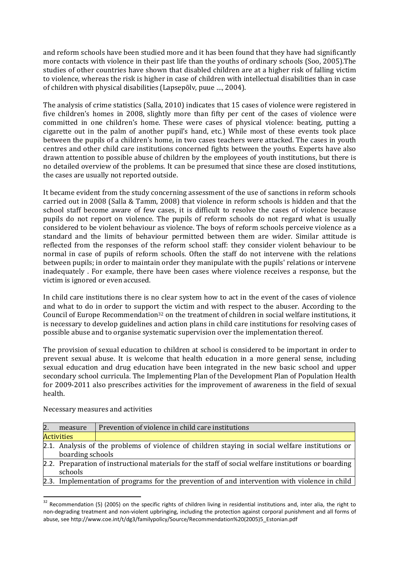and reform schools have been studied more and it has been found that they have had significantly more contacts with violence in their past life than the youths of ordinary schools (Soo, 2005).The studies of other countries have shown that disabled children are at a higher risk of falling victim to violence, whereas the risk is higher in case of children with intellectual disabilities than in case of children with physical disabilities (Lapsepõlv, puue …, 2004).

The analysis of crime statistics (Salla, 2010) indicates that 15 cases of violence were registered in five children's homes in 2008, slightly more than fifty per cent of the cases of violence were committed in one children's home. These were cases of physical violence: beating, putting a cigarette out in the palm of another pupil's hand, etc.) While most of these events took place between the pupils of a children's home, in two cases teachers were attacked. The cases in youth centres and other child care institutions concerned fights between the youths. Experts have also drawn attention to possible abuse of children by the employees of youth institutions, but there is no detailed overview of the problems. It can be presumed that since these are closed institutions, the cases are usually not reported outside.

It became evident from the study concerning assessment of the use of sanctions in reform schools carried out in 2008 (Salla & Tamm, 2008) that violence in reform schools is hidden and that the school staff become aware of few cases, it is difficult to resolve the cases of violence because pupils do not report on violence. The pupils of reform schools do not regard what is usually considered to be violent behaviour as violence. The boys of reform schools perceive violence as a standard and the limits of behaviour permitted between them are wider. Similar attitude is reflected from the responses of the reform school staff: they consider violent behaviour to be normal in case of pupils of reform schools. Often the staff do not intervene with the relations between pupils; in order to maintain order they manipulate with the pupils' relations or intervene inadequately . For example, there have been cases where violence receives a response, but the victim is ignored or even accused.

In child care institutions there is no clear system how to act in the event of the cases of violence and what to do in order to support the victim and with respect to the abuser. According to the Council of Europe Recommendation<sup>32</sup> on the treatment of children in social welfare institutions, it is necessary to develop guidelines and action plans in child care institutions for resolving cases of possible abuse and to organise systematic supervision over the implementation thereof.

The provision of sexual education to children at school is considered to be important in order to prevent sexual abuse. It is welcome that health education in a more general sense, including sexual education and drug education have been integrated in the new basic school and upper secondary school curricula. The Implementing Plan of the Development Plan of Population Health for 2009-2011 also prescribes activities for the improvement of awareness in the field of sexual health.

| measure           | Prevention of violence in child care institutions                                                    |
|-------------------|------------------------------------------------------------------------------------------------------|
| <b>Activities</b> |                                                                                                      |
|                   | 2.1. Analysis of the problems of violence of children staying in social welfare institutions or      |
| boarding schools  |                                                                                                      |
|                   | 2.2. Preparation of instructional materials for the staff of social welfare institutions or boarding |
| schools           |                                                                                                      |
|                   | 2.3. Implementation of programs for the prevention of and intervention with violence in child        |

Necessary measures and activities

 $32$  Recommendation (5) (2005) on the specific rights of children living in residential institutions and, inter alia, the right to non-degrading treatment and non-violent upbringing, including the protection against corporal punishment and all forms of abuse, see http://www.coe.int/t/dg3/familypolicy/Source/Recommendation%20(2005)5\_Estonian.pdf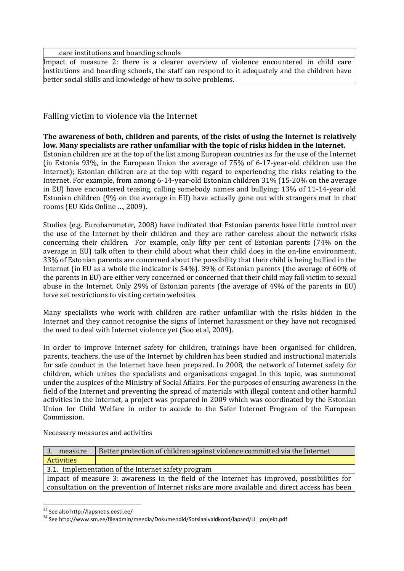care institutions and boarding schools

Impact of measure 2: there is a clearer overview of violence encountered in child care institutions and boarding schools, the staff can respond to it adequately and the children have better social skills and knowledge of how to solve problems.

Falling victim to violence via the Internet

**The awareness of both, children and parents, of the risks of using the Internet is relatively low. Many specialists are rather unfamiliar with the topic of risks hidden in the Internet.** Estonian children are at the top of the list among European countries as for the use of the Internet (in Estonia 93%, in the European Union the average of 75% of 6-17-year-old children use the Internet); Estonian children are at the top with regard to experiencing the risks relating to the Internet. For example, from among 6-14-year-old Estonian children 31% (15-20% on the average in EU) have encountered teasing, calling somebody names and bullying; 13% of 11-14-year old Estonian children (9% on the average in EU) have actually gone out with strangers met in chat rooms (EU Kids Online …, 2009).

Studies (e.g. Eurobarometer, 2008) have indicated that Estonian parents have little control over the use of the Internet by their children and they are rather careless about the network risks concerning their children. For example, only fifty per cent of Estonian parents (74% on the average in EU) talk often to their child about what their child does in the on-line environment. 33% of Estonian parents are concerned about the possibility that their child is being bullied in the Internet (in EU as a whole the indicator is 54%). 39% of Estonian parents (the average of 60% of the parents in EU) are either very concerned or concerned that their child may fall victim to sexual abuse in the Internet. Only 29% of Estonian parents (the average of 49% of the parents in EU) have set restrictions to visiting certain websites.

Many specialists who work with children are rather unfamiliar with the risks hidden in the Internet and they cannot recognise the signs of Internet harassment or they have not recognised the need to deal with Internet violence yet (Soo et al, 2009).

In order to improve Internet safety for children, trainings have been organised for children, parents, teachers, the use of the Internet by children has been studied and instructional materials for safe conduct in the Internet have been prepared. In 2008, the network of Internet safety for children, which unites the specialists and organisations engaged in this topic, was summoned under the auspices of the Ministry of Social Affairs. For the purposes of ensuring awareness in the field of the Internet and preventing the spread of materials with illegal content and other harmful activities in the Internet, a project was prepared in 2009 which was coordinated by the Estonian Union for Child Welfare in order to accede to the Safer Internet Program of the European Commission.

Necessary measures and activities

| measure<br>3.     | Better protection of children against violence committed via the Internet                      |
|-------------------|------------------------------------------------------------------------------------------------|
| <b>Activities</b> |                                                                                                |
|                   | 3.1. Implementation of the Internet safety program                                             |
|                   | Impact of measure 3: awareness in the field of the Internet has improved, possibilities for    |
|                   | consultation on the prevention of Internet risks are more available and direct access has been |

<sup>33</sup> See also http://lapsnetis.eesti.ee/

<sup>34</sup> See http://www.sm.ee/fileadmin/meedia/Dokumendid/Sotsiaalvaldkond/lapsed/LL\_projekt.pdf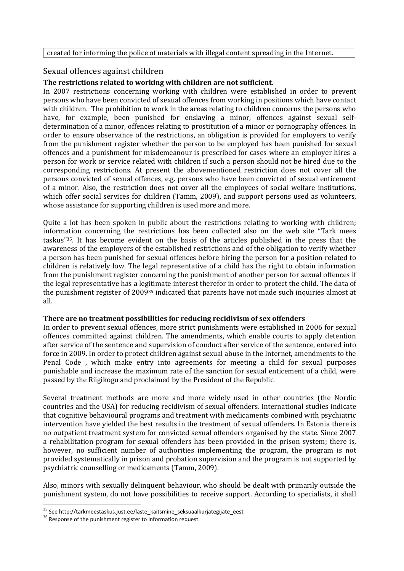#### created for informing the police of materials with illegal content spreading in the Internet.

#### Sexual offences against children

### **The restrictions related to working with children are not sufficient.**

In 2007 restrictions concerning working with children were established in order to prevent persons who have been convicted of sexual offences from working in positions which have contact with children. The prohibition to work in the areas relating to children concerns the persons who have, for example, been punished for enslaving a minor, offences against sexual selfdetermination of a minor, offences relating to prostitution of a minor or pornography offences. In order to ensure observance of the restrictions, an obligation is provided for employers to verify from the punishment register whether the person to be employed has been punished for sexual offences and a punishment for misdemeanour is prescribed for cases where an employer hires a person for work or service related with children if such a person should not be hired due to the corresponding restrictions. At present the abovementioned restriction does not cover all the persons convicted of sexual offences, e.g. persons who have been convicted of sexual enticement of a minor. Also, the restriction does not cover all the employees of social welfare institutions, which offer social services for children (Tamm, 2009), and support persons used as volunteers, whose assistance for supporting children is used more and more.

Quite a lot has been spoken in public about the restrictions relating to working with children; information concerning the restrictions has been collected also on the web site "Tark mees taskus"35. It has become evident on the basis of the articles published in the press that the awareness of the employers of the established restrictions and of the obligation to verify whether a person has been punished for sexual offences before hiring the person for a position related to children is relatively low. The legal representative of a child has the right to obtain information from the punishment register concerning the punishment of another person for sexual offences if the legal representative has a legitimate interest therefor in order to protect the child. The data of the punishment register of 200936 indicated that parents have not made such inquiries almost at all.

#### **There are no treatment possibilities for reducing recidivism of sex offenders**

In order to prevent sexual offences, more strict punishments were established in 2006 for sexual offences committed against children. The amendments, which enable courts to apply detention after service of the sentence and supervision of conduct after service of the sentence, entered into force in 2009. In order to protect children against sexual abuse in the Internet, amendments to the Penal Code , which make entry into agreements for meeting a child for sexual purposes punishable and increase the maximum rate of the sanction for sexual enticement of a child, were passed by the Riigikogu and proclaimed by the President of the Republic.

Several treatment methods are more and more widely used in other countries (the Nordic countries and the USA) for reducing recidivism of sexual offenders. International studies indicate that cognitive behavioural programs and treatment with medicaments combined with psychiatric intervention have yielded the best results in the treatment of sexual offenders. In Estonia there is no outpatient treatment system for convicted sexual offenders organised by the state. Since 2007 a rehabilitation program for sexual offenders has been provided in the prison system; there is, however, no sufficient number of authorities implementing the program, the program is not provided systematically in prison and probation supervision and the program is not supported by psychiatric counselling or medicaments (Tamm, 2009).

Also, minors with sexually delinquent behaviour, who should be dealt with primarily outside the punishment system, do not have possibilities to receive support. According to specialists, it shall

<sup>&</sup>lt;sup>35</sup> See http://tarkmeestaskus.just.ee/laste\_kaitsmine\_seksuaalkurjategijate\_eest

<sup>&</sup>lt;sup>36</sup> Response of the punishment register to information request.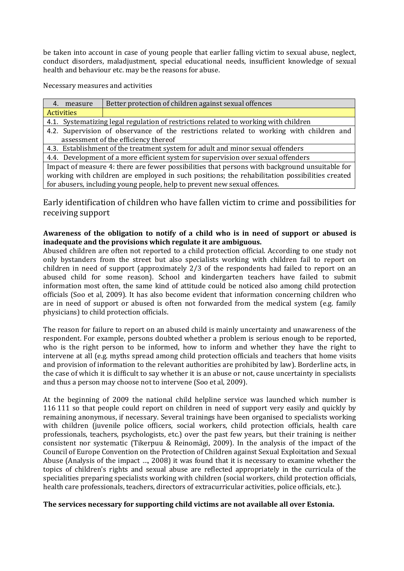be taken into account in case of young people that earlier falling victim to sexual abuse, neglect, conduct disorders, maladjustment, special educational needs, insufficient knowledge of sexual health and behaviour etc. may be the reasons for abuse.

Necessary measures and activities

| 4. measure                                                                                                                                                                  | Better protection of children against sexual offences                                   |  |  |
|-----------------------------------------------------------------------------------------------------------------------------------------------------------------------------|-----------------------------------------------------------------------------------------|--|--|
| <b>Activities</b>                                                                                                                                                           |                                                                                         |  |  |
| Systematizing legal regulation of restrictions related to working with children<br>4.1.                                                                                     |                                                                                         |  |  |
|                                                                                                                                                                             | 4.2. Supervision of observance of the restrictions related to working with children and |  |  |
| assessment of the efficiency thereof                                                                                                                                        |                                                                                         |  |  |
| 4.3. Establishment of the treatment system for adult and minor sexual offenders                                                                                             |                                                                                         |  |  |
| 4.4. Development of a more efficient system for supervision over sexual offenders                                                                                           |                                                                                         |  |  |
| Impact of measure 4: there are fewer possibilities that persons with background unsuitable for                                                                              |                                                                                         |  |  |
| working with children are employed in such positions; the rehabilitation possibilities created<br>for abusers, including young people, help to prevent new sexual offences. |                                                                                         |  |  |

Early identification of children who have fallen victim to crime and possibilities for receiving support

#### **Awareness of the obligation to notify of a child who is in need of support or abused is inadequate and the provisions which regulate it are ambiguous.**

Abused children are often not reported to a child protection official. According to one study not only bystanders from the street but also specialists working with children fail to report on children in need of support (approximately 2/3 of the respondents had failed to report on an abused child for some reason). School and kindergarten teachers have failed to submit information most often, the same kind of attitude could be noticed also among child protection officials (Soo et al, 2009). It has also become evident that information concerning children who are in need of support or abused is often not forwarded from the medical system (e.g. family physicians) to child protection officials.

The reason for failure to report on an abused child is mainly uncertainty and unawareness of the respondent. For example, persons doubted whether a problem is serious enough to be reported, who is the right person to be informed, how to inform and whether they have the right to intervene at all (e.g. myths spread among child protection officials and teachers that home visits and provision of information to the relevant authorities are prohibited by law). Borderline acts, in the case of which it is difficult to say whether it is an abuse or not, cause uncertainty in specialists and thus a person may choose not to intervene (Soo et al, 2009).

At the beginning of 2009 the national child helpline service was launched which number is 116 111 so that people could report on children in need of support very easily and quickly by remaining anonymous, if necessary. Several trainings have been organised to specialists working with children (juvenile police officers, social workers, child protection officials, health care professionals, teachers, psychologists, etc.) over the past few years, but their training is neither consistent nor systematic (Tikerpuu & Reinomägi, 2009). In the analysis of the impact of the Council of Europe Convention on the Protection of Children against Sexual Exploitation and Sexual Abuse (Analysis of the impact …, 2008) it was found that it is necessary to examine whether the topics of children's rights and sexual abuse are reflected appropriately in the curricula of the specialities preparing specialists working with children (social workers, child protection officials, health care professionals, teachers, directors of extracurricular activities, police officials, etc.).

#### **The services necessary for supporting child victims are not available all over Estonia.**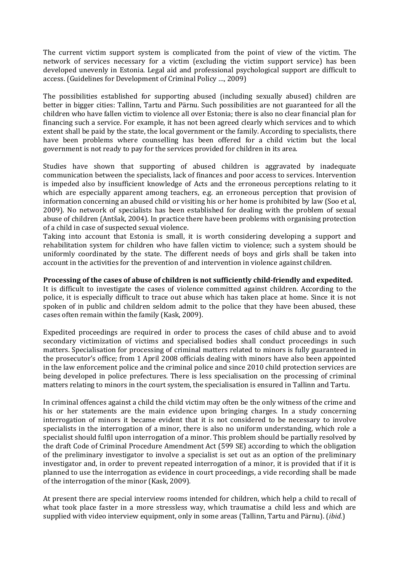The current victim support system is complicated from the point of view of the victim. The network of services necessary for a victim (excluding the victim support service) has been developed unevenly in Estonia. Legal aid and professional psychological support are difficult to access. (Guidelines for Development of Criminal Policy …, 2009)

The possibilities established for supporting abused (including sexually abused) children are better in bigger cities: Tallinn, Tartu and Pärnu. Such possibilities are not guaranteed for all the children who have fallen victim to violence all over Estonia; there is also no clear financial plan for financing such a service. For example, it has not been agreed clearly which services and to which extent shall be paid by the state, the local government or the family. According to specialists, there have been problems where counselling has been offered for a child victim but the local government is not ready to pay for the services provided for children in its area.

Studies have shown that supporting of abused children is aggravated by inadequate communication between the specialists, lack of finances and poor access to services. Intervention is impeded also by insufficient knowledge of Acts and the erroneous perceptions relating to it which are especially apparent among teachers, e.g. an erroneous perception that provision of information concerning an abused child or visiting his or her home is prohibited by law (Soo et al, 2009). No network of specialists has been established for dealing with the problem of sexual abuse of children (Antšak, 2004). In practice there have been problems with organising protection of a child in case of suspected sexual violence.

Taking into account that Estonia is small, it is worth considering developing a support and rehabilitation system for children who have fallen victim to violence; such a system should be uniformly coordinated by the state. The different needs of boys and girls shall be taken into account in the activities for the prevention of and intervention in violence against children.

#### **Processing of the cases of abuse of children is not sufficiently child-friendly and expedited.**

It is difficult to investigate the cases of violence committed against children. According to the police, it is especially difficult to trace out abuse which has taken place at home. Since it is not spoken of in public and children seldom admit to the police that they have been abused, these cases often remain within the family (Kask, 2009).

Expedited proceedings are required in order to process the cases of child abuse and to avoid secondary victimization of victims and specialised bodies shall conduct proceedings in such matters. Specialisation for processing of criminal matters related to minors is fully guaranteed in the prosecutor's office; from 1 April 2008 officials dealing with minors have also been appointed in the law enforcement police and the criminal police and since 2010 child protection services are being developed in police prefectures. There is less specialisation on the processing of criminal matters relating to minors in the court system, the specialisation is ensured in Tallinn and Tartu.

In criminal offences against a child the child victim may often be the only witness of the crime and his or her statements are the main evidence upon bringing charges. In a study concerning interrogation of minors it became evident that it is not considered to be necessary to involve specialists in the interrogation of a minor, there is also no uniform understanding, which role a specialist should fulfil upon interrogation of a minor. This problem should be partially resolved by the draft Code of Criminal Procedure Amendment Act (599 SE) according to which the obligation of the preliminary investigator to involve a specialist is set out as an option of the preliminary investigator and, in order to prevent repeated interrogation of a minor, it is provided that if it is planned to use the interrogation as evidence in court proceedings, a vide recording shall be made of the interrogation of the minor (Kask, 2009).

At present there are special interview rooms intended for children, which help a child to recall of what took place faster in a more stressless way, which traumatise a child less and which are supplied with video interview equipment, only in some areas (Tallinn, Tartu and Pärnu). (*ibid.*)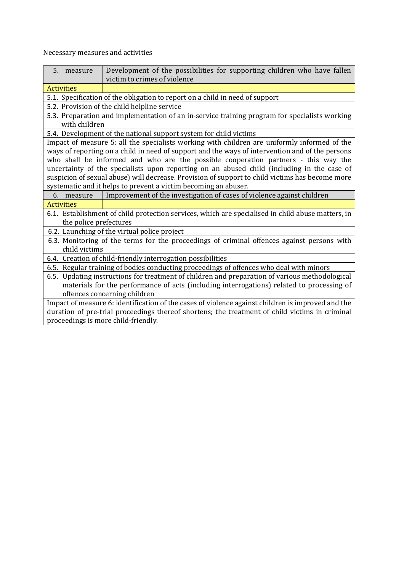Necessary measures and activities

| 5. measure                                                                                                                  | Development of the possibilities for supporting children who have fallen<br>victim to crimes of violence |  |  |
|-----------------------------------------------------------------------------------------------------------------------------|----------------------------------------------------------------------------------------------------------|--|--|
| <b>Activities</b>                                                                                                           |                                                                                                          |  |  |
|                                                                                                                             | 5.1. Specification of the obligation to report on a child in need of support                             |  |  |
|                                                                                                                             | 5.2. Provision of the child helpline service                                                             |  |  |
|                                                                                                                             | 5.3. Preparation and implementation of an in-service training program for specialists working            |  |  |
| with children                                                                                                               |                                                                                                          |  |  |
|                                                                                                                             | 5.4. Development of the national support system for child victims                                        |  |  |
|                                                                                                                             | Impact of measure 5: all the specialists working with children are uniformly informed of the             |  |  |
|                                                                                                                             | ways of reporting on a child in need of support and the ways of intervention and of the persons          |  |  |
|                                                                                                                             | who shall be informed and who are the possible cooperation partners - this way the                       |  |  |
|                                                                                                                             | uncertainty of the specialists upon reporting on an abused child (including in the case of               |  |  |
|                                                                                                                             | suspicion of sexual abuse) will decrease. Provision of support to child victims has become more          |  |  |
|                                                                                                                             | systematic and it helps to prevent a victim becoming an abuser.                                          |  |  |
| 6. measure                                                                                                                  | Improvement of the investigation of cases of violence against children                                   |  |  |
| <b>Activities</b>                                                                                                           |                                                                                                          |  |  |
| 6.1. Establishment of child protection services, which are specialised in child abuse matters, in<br>the police prefectures |                                                                                                          |  |  |
| 6.2. Launching of the virtual police project                                                                                |                                                                                                          |  |  |
| 6.3. Monitoring of the terms for the proceedings of criminal offences against persons with<br>child victims                 |                                                                                                          |  |  |
| 6.4. Creation of child-friendly interrogation possibilities                                                                 |                                                                                                          |  |  |
| 6.5. Regular training of bodies conducting proceedings of offences who deal with minors                                     |                                                                                                          |  |  |
| 6.5. Updating instructions for treatment of children and preparation of various methodological                              |                                                                                                          |  |  |
| materials for the performance of acts (including interrogations) related to processing of                                   |                                                                                                          |  |  |
| offences concerning children                                                                                                |                                                                                                          |  |  |
| Impact of measure 6: identification of the cases of violence against children is improved and the                           |                                                                                                          |  |  |
| duration of pre-trial proceedings thereof shortens; the treatment of child victims in criminal                              |                                                                                                          |  |  |
| proceedings is more child-friendly.                                                                                         |                                                                                                          |  |  |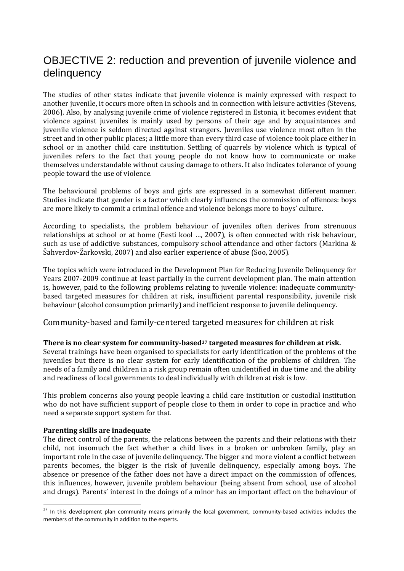# OBJECTIVE 2: reduction and prevention of juvenile violence and delinquency

The studies of other states indicate that juvenile violence is mainly expressed with respect to another juvenile, it occurs more often in schools and in connection with leisure activities (Stevens, 2006). Also, by analysing juvenile crime of violence registered in Estonia, it becomes evident that violence against juveniles is mainly used by persons of their age and by acquaintances and juvenile violence is seldom directed against strangers. Juveniles use violence most often in the street and in other public places; a little more than every third case of violence took place either in school or in another child care institution. Settling of quarrels by violence which is typical of juveniles refers to the fact that young people do not know how to communicate or make themselves understandable without causing damage to others. It also indicates tolerance of young people toward the use of violence.

The behavioural problems of boys and girls are expressed in a somewhat different manner. Studies indicate that gender is a factor which clearly influences the commission of offences: boys are more likely to commit a criminal offence and violence belongs more to boys' culture.

According to specialists, the problem behaviour of juveniles often derives from strenuous relationships at school or at home (Eesti kool …, 2007), is often connected with risk behaviour, such as use of addictive substances, compulsory school attendance and other factors (Markina & Šahverdov-Žarkovski, 2007) and also earlier experience of abuse (Soo, 2005).

The topics which were introduced in the Development Plan for Reducing Juvenile Delinquency for Years 2007-2009 continue at least partially in the current development plan. The main attention is, however, paid to the following problems relating to juvenile violence: inadequate communitybased targeted measures for children at risk, insufficient parental responsibility, juvenile risk behaviour (alcohol consumption primarily) and inefficient response to juvenile delinquency.

Community-based and family-centered targeted measures for children at risk

#### **There is no clear system for community-based37 targeted measures for children at risk.**

Several trainings have been organised to specialists for early identification of the problems of the juveniles but there is no clear system for early identification of the problems of children. The needs of a family and children in a risk group remain often unidentified in due time and the ability and readiness of local governments to deal individually with children at risk is low.

This problem concerns also young people leaving a child care institution or custodial institution who do not have sufficient support of people close to them in order to cope in practice and who need a separate support system for that.

#### **Parenting skills are inadequate**

 $\overline{a}$ 

The direct control of the parents, the relations between the parents and their relations with their child, not insomuch the fact whether a child lives in a broken or unbroken family, play an important role in the case of juvenile delinquency. The bigger and more violent a conflict between parents becomes, the bigger is the risk of juvenile delinquency, especially among boys. The absence or presence of the father does not have a direct impact on the commission of offences, this influences, however, juvenile problem behaviour (being absent from school, use of alcohol and drugs). Parents' interest in the doings of a minor has an important effect on the behaviour of

<sup>&</sup>lt;sup>37</sup> In this development plan community means primarily the local government, community-based activities includes the members of the community in addition to the experts.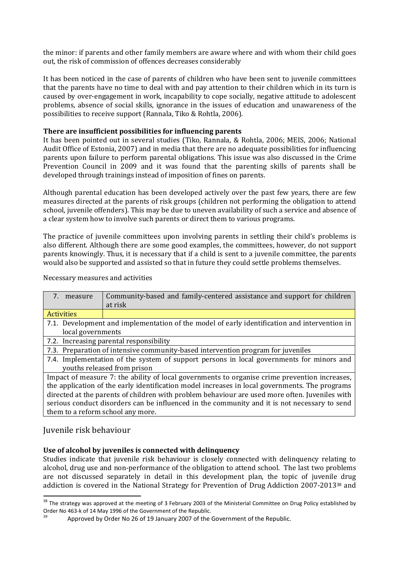the minor: if parents and other family members are aware where and with whom their child goes out, the risk of commission of offences decreases considerably

It has been noticed in the case of parents of children who have been sent to juvenile committees that the parents have no time to deal with and pay attention to their children which in its turn is caused by over-engagement in work, incapability to cope socially, negative attitude to adolescent problems, absence of social skills, ignorance in the issues of education and unawareness of the possibilities to receive support (Rannala, Tiko & Rohtla, 2006).

#### **There are insufficient possibilities for influencing parents**

It has been pointed out in several studies (Tiko, Rannala, & Rohtla, 2006; MEIS, 2006; National Audit Office of Estonia, 2007) and in media that there are no adequate possibilities for influencing parents upon failure to perform parental obligations. This issue was also discussed in the Crime Prevention Council in 2009 and it was found that the parenting skills of parents shall be developed through trainings instead of imposition of fines on parents.

Although parental education has been developed actively over the past few years, there are few measures directed at the parents of risk groups (children not performing the obligation to attend school, juvenile offenders). This may be due to uneven availability of such a service and absence of a clear system how to involve such parents or direct them to various programs.

The practice of juvenile committees upon involving parents in settling their child's problems is also different. Although there are some good examples, the committees, however, do not support parents knowingly. Thus, it is necessary that if a child is sent to a juvenile committee, the parents would also be supported and assisted so that in future they could settle problems themselves.

#### Necessary measures and activities

| 7 <sup>1</sup><br>measure                                                                      | Community-based and family-centered assistance and support for children                       |
|------------------------------------------------------------------------------------------------|-----------------------------------------------------------------------------------------------|
|                                                                                                | at risk                                                                                       |
| <b>Activities</b>                                                                              |                                                                                               |
|                                                                                                | 7.1. Development and implementation of the model of early identification and intervention in  |
| local governments                                                                              |                                                                                               |
| 7.2. Increasing parental responsibility                                                        |                                                                                               |
| 7.3. Preparation of intensive community-based intervention program for juveniles               |                                                                                               |
| 7.4. Implementation of the system of support persons in local governments for minors and       |                                                                                               |
| youths released from prison                                                                    |                                                                                               |
|                                                                                                | Impact of measure 7: the ability of local governments to organise crime prevention increases, |
| the application of the early identification model increases in local governments. The programs |                                                                                               |
| directed at the parents of children with problem behaviour are used more often. Juveniles with |                                                                                               |
| serious conduct disorders can be influenced in the community and it is not necessary to send   |                                                                                               |
| them to a reform school any more.                                                              |                                                                                               |
|                                                                                                |                                                                                               |

#### Juvenile risk behaviour

l

#### **Use of alcohol by juveniles is connected with delinquency**

Studies indicate that juvenile risk behaviour is closely connected with delinquency relating to alcohol, drug use and non-performance of the obligation to attend school. The last two problems are not discussed separately in detail in this development plan, the topic of juvenile drug addiction is covered in the National Strategy for Prevention of Drug Addiction 2007-201338 and

<sup>&</sup>lt;sup>38</sup> The strategy was approved at the meeting of 3 February 2003 of the Ministerial Committee on Drug Policy established by Order No 463-k of 14 May 1996 of the Government of the Republic.

Approved by Order No 26 of 19 January 2007 of the Government of the Republic.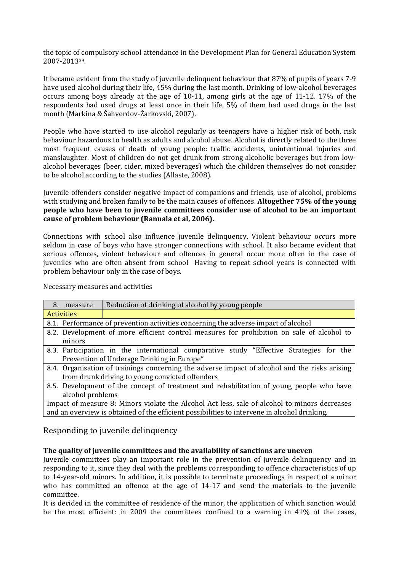the topic of compulsory school attendance in the Development Plan for General Education System 2007-201339.

It became evident from the study of juvenile delinquent behaviour that 87% of pupils of years 7-9 have used alcohol during their life, 45% during the last month. Drinking of low-alcohol beverages occurs among boys already at the age of 10-11, among girls at the age of 11-12. 17% of the respondents had used drugs at least once in their life, 5% of them had used drugs in the last month (Markina & Šahverdov-Žarkovski, 2007).

People who have started to use alcohol regularly as teenagers have a higher risk of both, risk behaviour hazardous to health as adults and alcohol abuse. Alcohol is directly related to the three most frequent causes of death of young people: traffic accidents, unintentional injuries and manslaughter. Most of children do not get drunk from strong alcoholic beverages but from lowalcohol beverages (beer, cider, mixed beverages) which the children themselves do not consider to be alcohol according to the studies (Allaste, 2008).

Juvenile offenders consider negative impact of companions and friends, use of alcohol, problems with studying and broken family to be the main causes of offences. **Altogether 75% of the young people who have been to juvenile committees consider use of alcohol to be an important cause of problem behaviour (Rannala et al, 2006).**

Connections with school also influence juvenile delinquency. Violent behaviour occurs more seldom in case of boys who have stronger connections with school. It also became evident that serious offences, violent behaviour and offences in general occur more often in the case of juveniles who are often absent from school Having to repeat school years is connected with problem behaviour only in the case of boys.

Necessary measures and activities

| 8. measure                                                                                    | Reduction of drinking of alcohol by young people                                              |
|-----------------------------------------------------------------------------------------------|-----------------------------------------------------------------------------------------------|
| <b>Activities</b>                                                                             |                                                                                               |
| 8.1. Performance of prevention activities concerning the adverse impact of alcohol            |                                                                                               |
| 8.2. Development of more efficient control measures for prohibition on sale of alcohol to     |                                                                                               |
| minors                                                                                        |                                                                                               |
|                                                                                               | 8.3. Participation in the international comparative study "Effective Strategies for the       |
|                                                                                               | Prevention of Underage Drinking in Europe"                                                    |
|                                                                                               | 8.4. Organisation of trainings concerning the adverse impact of alcohol and the risks arising |
|                                                                                               | from drunk driving to young convicted offenders                                               |
|                                                                                               | 8.5. Development of the concept of treatment and rehabilitation of young people who have      |
| alcohol problems                                                                              |                                                                                               |
| Impact of measure 8: Minors violate the Alcohol Act less, sale of alcohol to minors decreases |                                                                                               |
| and an overview is obtained of the efficient possibilities to intervene in alcohol drinking.  |                                                                                               |

# Responding to juvenile delinquency

#### **The quality of juvenile committees and the availability of sanctions are uneven**

Juvenile committees play an important role in the prevention of juvenile delinquency and in responding to it, since they deal with the problems corresponding to offence characteristics of up to 14-year-old minors. In addition, it is possible to terminate proceedings in respect of a minor who has committed an offence at the age of 14-17 and send the materials to the juvenile committee.

It is decided in the committee of residence of the minor, the application of which sanction would be the most efficient: in 2009 the committees confined to a warning in 41% of the cases,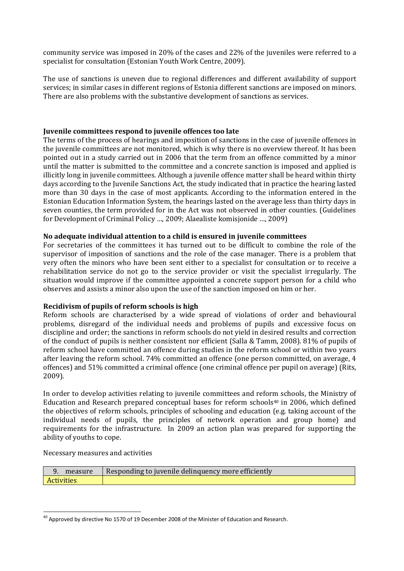community service was imposed in 20% of the cases and 22% of the juveniles were referred to a specialist for consultation (Estonian Youth Work Centre, 2009).

The use of sanctions is uneven due to regional differences and different availability of support services; in similar cases in different regions of Estonia different sanctions are imposed on minors. There are also problems with the substantive development of sanctions as services.

#### **Juvenile committees respond to juvenile offences too late**

The terms of the process of hearings and imposition of sanctions in the case of juvenile offences in the juvenile committees are not monitored, which is why there is no overview thereof. It has been pointed out in a study carried out in 2006 that the term from an offence committed by a minor until the matter is submitted to the committee and a concrete sanction is imposed and applied is illicitly long in juvenile committees. Although a juvenile offence matter shall be heard within thirty days according to the Juvenile Sanctions Act, the study indicated that in practice the hearing lasted more than 30 days in the case of most applicants. According to the information entered in the Estonian Education Information System, the hearings lasted on the average less than thirty days in seven counties, the term provided for in the Act was not observed in other counties. (Guidelines for Development of Criminal Policy …, 2009; Alaealiste komisjonide …, 2009)

#### **No adequate individual attention to a child is ensured in juvenile committees**

For secretaries of the committees it has turned out to be difficult to combine the role of the supervisor of imposition of sanctions and the role of the case manager. There is a problem that very often the minors who have been sent either to a specialist for consultation or to receive a rehabilitation service do not go to the service provider or visit the specialist irregularly. The situation would improve if the committee appointed a concrete support person for a child who observes and assists a minor also upon the use of the sanction imposed on him or her.

#### **Recidivism of pupils of reform schools is high**

Reform schools are characterised by a wide spread of violations of order and behavioural problems, disregard of the individual needs and problems of pupils and excessive focus on discipline and order; the sanctions in reform schools do not yield in desired results and correction of the conduct of pupils is neither consistent nor efficient (Salla & Tamm, 2008). 81% of pupils of reform school have committed an offence during studies in the reform school or within two years after leaving the reform school. 74% committed an offence (one person committed, on average, 4 offences) and 51% committed a criminal offence (one criminal offence per pupil on average) (Rits, 2009).

In order to develop activities relating to juvenile committees and reform schools, the Ministry of Education and Research prepared conceptual bases for reform schools $40$  in 2006, which defined the objectives of reform schools, principles of schooling and education (e.g. taking account of the individual needs of pupils, the principles of network operation and group home) and requirements for the infrastructure. In 2009 an action plan was prepared for supporting the ability of youths to cope.

Necessary measures and activities

l

| measure           | Responding to juvenile delinquency more efficiently |
|-------------------|-----------------------------------------------------|
| <b>Activities</b> |                                                     |

 $^{40}$  Approved by directive No 1570 of 19 December 2008 of the Minister of Education and Research.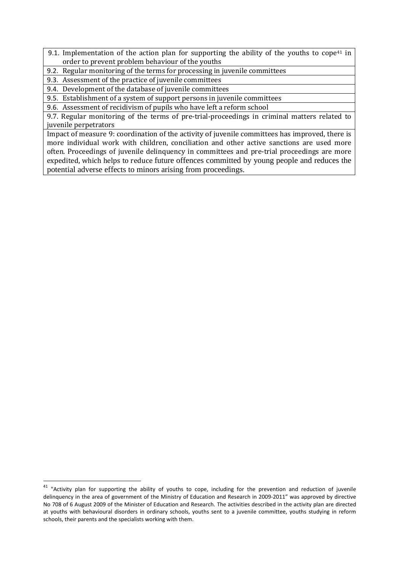- 9.1. Implementation of the action plan for supporting the ability of the youths to cope<sup>41</sup> in order to prevent problem behaviour of the youths
- 9.2. Regular monitoring of the terms for processing in juvenile committees
- 9.3. Assessment of the practice of juvenile committees
- 9.4. Development of the database of juvenile committees

9.5. Establishment of a system of support persons in juvenile committees

9.6. Assessment of recidivism of pupils who have left a reform school

9.7. Regular monitoring of the terms of pre-trial-proceedings in criminal matters related to juvenile perpetrators

Impact of measure 9: coordination of the activity of juvenile committees has improved, there is more individual work with children, conciliation and other active sanctions are used more often. Proceedings of juvenile delinquency in committees and pre-trial proceedings are more expedited, which helps to reduce future offences committed by young people and reduces the potential adverse effects to minors arising from proceedings.

 $41$  "Activity plan for supporting the ability of youths to cope, including for the prevention and reduction of juvenile delinquency in the area of government of the Ministry of Education and Research in 2009-2011" was approved by directive No 708 of 6 August 2009 of the Minister of Education and Research. The activities described in the activity plan are directed at youths with behavioural disorders in ordinary schools, youths sent to a juvenile committee, youths studying in reform schools, their parents and the specialists working with them.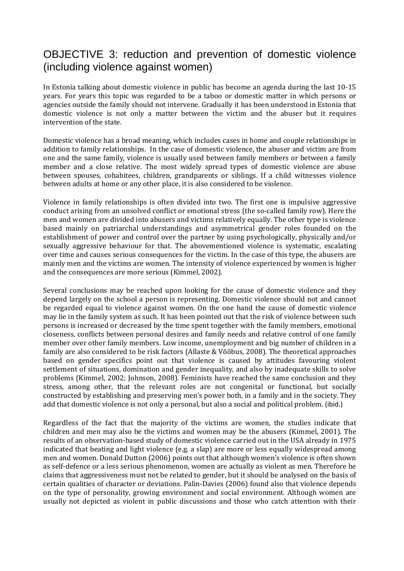# OBJECTIVE 3: reduction and prevention of domestic violence (including violence against women)

In Estonia talking about domestic violence in public has become an agenda during the last 10-15 years. For years this topic was regarded to be a taboo or domestic matter in which persons or agencies outside the family should not intervene. Gradually it has been understood in Estonia that domestic violence is not only a matter between the victim and the abuser but it requires intervention of the state.

Domestic violence has a broad meaning, which includes cases in home and couple relationships in addition to family relationships. In the case of domestic violence, the abuser and victim are from one and the same family, violence is usually used between family members or between a family member and a close relative. The most widely spread types of domestic violence are abuse between spouses, cohabitees, children, grandparents or siblings. If a child witnesses violence between adults at home or any other place, it is also considered to be violence.

Violence in family relationships is often divided into two. The first one is impulsive aggressive conduct arising from an unsolved conflict or emotional stress (the so-called family row). Here the men and women are divided into abusers and victims relatively equally. The other type is violence based mainly on patriarchal understandings and asymmetrical gender roles founded on the establishment of power and control over the partner by using psychologically, physically and/or sexually aggressive behaviour for that. The abovementioned violence is systematic, escalating over time and causes serious consequences for the victim. In the case of this type, the abusers are mainly men and the victims are women. The intensity of violence experienced by women is higher and the consequences are more serious (Kimmel, 2002).

Several conclusions may be reached upon looking for the cause of domestic violence and they depend largely on the school a person is representing. Domestic violence should not and cannot be regarded equal to violence against women. On the one hand the cause of domestic violence may lie in the family system as such. It has been pointed out that the risk of violence between such persons is increased or decreased by the time spent together with the family members, emotional closeness, conflicts between personal desires and family needs and relative control of one family member over other family members. Low income, unemployment and big number of children in a family are also considered to be risk factors (Allaste & Võõbus, 2008). The theoretical approaches based on gender specifics point out that violence is caused by attitudes favouring violent settlement of situations, domination and gender inequality, and also by inadequate skills to solve problems (Kimmel, 2002; Johnson, 2008). Feminists have reached the same conclusion and they stress, among other, that the relevant roles are not congenital or functional, but socially constructed by establishing and preserving men's power both, in a family and in the society. They add that domestic violence is not only a personal, but also a social and political problem. (ibid.)

Regardless of the fact that the majority of the victims are women, the studies indicate that children and men may also be the victims and women may be the abusers (Kimmel, 2001). The results of an observation-based study of domestic violence carried out in the USA already in 1975 indicated that beating and light violence (e.g. a slap) are more or less equally widespread among men and women. Donald Dutton (2006) points out that although women's violence is often shown as self-defence or a less serious phenomenon, women are actually as violent as men. Therefore he claims that aggressiveness must not be related to gender, but it should be analysed on the basis of certain qualities of character or deviations. Palin-Davies (2006) found also that violence depends on the type of personality, growing environment and social environment. Although women are usually not depicted as violent in public discussions and those who catch attention with their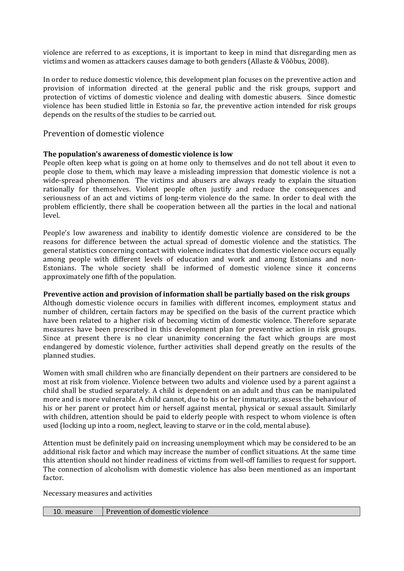violence are referred to as exceptions, it is important to keep in mind that disregarding men as victims and women as attackers causes damage to both genders (Allaste & Võõbus, 2008).

In order to reduce domestic violence, this development plan focuses on the preventive action and provision of information directed at the general public and the risk groups, support and protection of victims of domestic violence and dealing with domestic abusers. Since domestic violence has been studied little in Estonia so far, the preventive action intended for risk groups depends on the results of the studies to be carried out.

### Prevention of domestic violence

#### **The population's awareness of domestic violence is low**

People often keep what is going on at home only to themselves and do not tell about it even to people close to them, which may leave a misleading impression that domestic violence is not a wide-spread phenomenon. The victims and abusers are always ready to explain the situation rationally for themselves. Violent people often justify and reduce the consequences and seriousness of an act and victims of long-term violence do the same. In order to deal with the problem efficiently, there shall be cooperation between all the parties in the local and national level.

People's low awareness and inability to identify domestic violence are considered to be the reasons for difference between the actual spread of domestic violence and the statistics. The general statistics concerning contact with violence indicates that domestic violence occurs equally among people with different levels of education and work and among Estonians and non-Estonians. The whole society shall be informed of domestic violence since it concerns approximately one fifth of the population.

#### **Preventive action and provision of information shall be partially based on the risk groups**

Although domestic violence occurs in families with different incomes, employment status and number of children, certain factors may be specified on the basis of the current practice which have been related to a higher risk of becoming victim of domestic violence. Therefore separate measures have been prescribed in this development plan for preventive action in risk groups. Since at present there is no clear unanimity concerning the fact which groups are most endangered by domestic violence, further activities shall depend greatly on the results of the planned studies.

Women with small children who are financially dependent on their partners are considered to be most at risk from violence. Violence between two adults and violence used by a parent against a child shall be studied separately. A child is dependent on an adult and thus can be manipulated more and is more vulnerable. A child cannot, due to his or her immaturity, assess the behaviour of his or her parent or protect him or herself against mental, physical or sexual assault. Similarly with children, attention should be paid to elderly people with respect to whom violence is often used (locking up into a room, neglect, leaving to starve or in the cold, mental abuse).

Attention must be definitely paid on increasing unemployment which may be considered to be an additional risk factor and which may increase the number of conflict situations. At the same time this attention should not hinder readiness of victims from well-off families to request for support. The connection of alcoholism with domestic violence has also been mentioned as an important factor.

Necessary measures and activities

| measure | Prevention of domestic violence |
|---------|---------------------------------|
|---------|---------------------------------|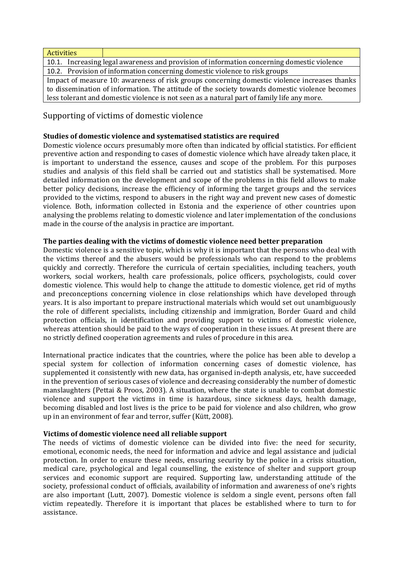| <b>Activities</b>                                                                              |                                                                                            |  |
|------------------------------------------------------------------------------------------------|--------------------------------------------------------------------------------------------|--|
|                                                                                                | 10.1. Increasing legal awareness and provision of information concerning domestic violence |  |
| 10.2. Provision of information concerning domestic violence to risk groups                     |                                                                                            |  |
| Impact of measure 10: awareness of risk groups concerning domestic violence increases thanks   |                                                                                            |  |
| to dissemination of information. The attitude of the society towards domestic violence becomes |                                                                                            |  |
| less tolerant and domestic violence is not seen as a natural part of family life any more.     |                                                                                            |  |

Supporting of victims of domestic violence

#### **Studies of domestic violence and systematised statistics are required**

Domestic violence occurs presumably more often than indicated by official statistics. For efficient preventive action and responding to cases of domestic violence which have already taken place, it is important to understand the essence, causes and scope of the problem. For this purposes studies and analysis of this field shall be carried out and statistics shall be systematised. More detailed information on the development and scope of the problems in this field allows to make better policy decisions, increase the efficiency of informing the target groups and the services provided to the victims, respond to abusers in the right way and prevent new cases of domestic violence. Both, information collected in Estonia and the experience of other countries upon analysing the problems relating to domestic violence and later implementation of the conclusions made in the course of the analysis in practice are important.

#### **The parties dealing with the victims of domestic violence need better preparation**

Domestic violence is a sensitive topic, which is why it is important that the persons who deal with the victims thereof and the abusers would be professionals who can respond to the problems quickly and correctly. Therefore the curricula of certain specialities, including teachers, youth workers, social workers, health care professionals, police officers, psychologists, could cover domestic violence. This would help to change the attitude to domestic violence, get rid of myths and preconceptions concerning violence in close relationships which have developed through years. It is also important to prepare instructional materials which would set out unambiguously the role of different specialists, including citizenship and immigration, Border Guard and child protection officials, in identification and providing support to victims of domestic violence, whereas attention should be paid to the ways of cooperation in these issues. At present there are no strictly defined cooperation agreements and rules of procedure in this area.

International practice indicates that the countries, where the police has been able to develop a special system for collection of information concerning cases of domestic violence, has supplemented it consistently with new data, has organised in-depth analysis, etc, have succeeded in the prevention of serious cases of violence and decreasing considerably the number of domestic manslaughters (Pettai & Proos, 2003). A situation, where the state is unable to combat domestic violence and support the victims in time is hazardous, since sickness days, health damage, becoming disabled and lost lives is the price to be paid for violence and also children, who grow up in an environment of fear and terror, suffer (Kütt, 2008).

#### **Victims of domestic violence need all reliable support**

The needs of victims of domestic violence can be divided into five: the need for security, emotional, economic needs, the need for information and advice and legal assistance and judicial protection. In order to ensure these needs, ensuring security by the police in a crisis situation, medical care, psychological and legal counselling, the existence of shelter and support group services and economic support are required. Supporting law, understanding attitude of the society, professional conduct of officials, availability of information and awareness of one's rights are also important (Lutt, 2007). Domestic violence is seldom a single event, persons often fall victim repeatedly. Therefore it is important that places be established where to turn to for assistance.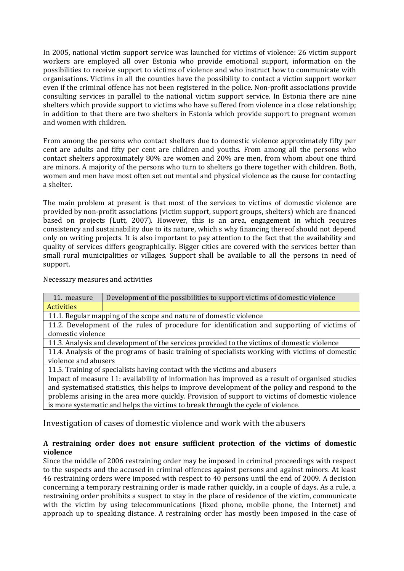In 2005, national victim support service was launched for victims of violence: 26 victim support workers are employed all over Estonia who provide emotional support, information on the possibilities to receive support to victims of violence and who instruct how to communicate with organisations. Victims in all the counties have the possibility to contact a victim support worker even if the criminal offence has not been registered in the police. Non-profit associations provide consulting services in parallel to the national victim support service. In Estonia there are nine shelters which provide support to victims who have suffered from violence in a close relationship; in addition to that there are two shelters in Estonia which provide support to pregnant women and women with children.

From among the persons who contact shelters due to domestic violence approximately fifty per cent are adults and fifty per cent are children and youths. From among all the persons who contact shelters approximately 80% are women and 20% are men, from whom about one third are minors. A majority of the persons who turn to shelters go there together with children. Both, women and men have most often set out mental and physical violence as the cause for contacting a shelter.

The main problem at present is that most of the services to victims of domestic violence are provided by non-profit associations (victim support, support groups, shelters) which are financed based on projects (Lutt, 2007). However, this is an area, engagement in which requires consistency and sustainability due to its nature, which s why financing thereof should not depend only on writing projects. It is also important to pay attention to the fact that the availability and quality of services differs geographically. Bigger cities are covered with the services better than small rural municipalities or villages. Support shall be available to all the persons in need of support.

#### Necessary measures and activities

| 11. measure                                                                                      | Development of the possibilities to support victims of domestic violence                        |  |
|--------------------------------------------------------------------------------------------------|-------------------------------------------------------------------------------------------------|--|
| <b>Activities</b>                                                                                |                                                                                                 |  |
| 11.1. Regular mapping of the scope and nature of domestic violence                               |                                                                                                 |  |
| 11.2. Development of the rules of procedure for identification and supporting of victims of      |                                                                                                 |  |
| domestic violence                                                                                |                                                                                                 |  |
| 11.3. Analysis and development of the services provided to the victims of domestic violence      |                                                                                                 |  |
| 11.4. Analysis of the programs of basic training of specialists working with victims of domestic |                                                                                                 |  |
| violence and abusers                                                                             |                                                                                                 |  |
| 11.5. Training of specialists having contact with the victims and abusers                        |                                                                                                 |  |
|                                                                                                  | Impact of measure 11: availability of information has improved as a result of organised studies |  |
| and systematised statistics, this helps to improve development of the policy and respond to the  |                                                                                                 |  |
|                                                                                                  | problems arising in the area more quickly. Provision of support to victims of domestic violence |  |
|                                                                                                  | is more systematic and helps the victims to break through the cycle of violence.                |  |

Investigation of cases of domestic violence and work with the abusers

#### **A restraining order does not ensure sufficient protection of the victims of domestic violence**

Since the middle of 2006 restraining order may be imposed in criminal proceedings with respect to the suspects and the accused in criminal offences against persons and against minors. At least 46 restraining orders were imposed with respect to 40 persons until the end of 2009. A decision concerning a temporary restraining order is made rather quickly, in a couple of days. As a rule, a restraining order prohibits a suspect to stay in the place of residence of the victim, communicate with the victim by using telecommunications (fixed phone, mobile phone, the Internet) and approach up to speaking distance. A restraining order has mostly been imposed in the case of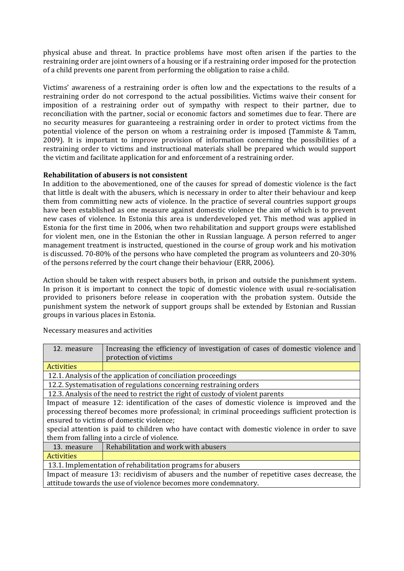physical abuse and threat. In practice problems have most often arisen if the parties to the restraining order are joint owners of a housing or if a restraining order imposed for the protection of a child prevents one parent from performing the obligation to raise a child.

Victims' awareness of a restraining order is often low and the expectations to the results of a restraining order do not correspond to the actual possibilities. Victims waive their consent for imposition of a restraining order out of sympathy with respect to their partner, due to reconciliation with the partner, social or economic factors and sometimes due to fear. There are no security measures for guaranteeing a restraining order in order to protect victims from the potential violence of the person on whom a restraining order is imposed (Tammiste & Tamm, 2009). It is important to improve provision of information concerning the possibilities of a restraining order to victims and instructional materials shall be prepared which would support the victim and facilitate application for and enforcement of a restraining order.

#### **Rehabilitation of abusers is not consistent**

In addition to the abovementioned, one of the causes for spread of domestic violence is the fact that little is dealt with the abusers, which is necessary in order to alter their behaviour and keep them from committing new acts of violence. In the practice of several countries support groups have been established as one measure against domestic violence the aim of which is to prevent new cases of violence. In Estonia this area is underdeveloped yet. This method was applied in Estonia for the first time in 2006, when two rehabilitation and support groups were established for violent men, one in the Estonian the other in Russian language. A person referred to anger management treatment is instructed, questioned in the course of group work and his motivation is discussed. 70-80% of the persons who have completed the program as volunteers and 20-30% of the persons referred by the court change their behaviour (ERR, 2006).

Action should be taken with respect abusers both, in prison and outside the punishment system. In prison it is important to connect the topic of domestic violence with usual re-socialisation provided to prisoners before release in cooperation with the probation system. Outside the punishment system the network of support groups shall be extended by Estonian and Russian groups in various places in Estonia.

| 12. measure                                                                                    | Increasing the efficiency of investigation of cases of domestic violence and                   |
|------------------------------------------------------------------------------------------------|------------------------------------------------------------------------------------------------|
|                                                                                                | protection of victims                                                                          |
| <b>Activities</b>                                                                              |                                                                                                |
|                                                                                                | 12.1. Analysis of the application of conciliation proceedings                                  |
| 12.2. Systematisation of regulations concerning restraining orders                             |                                                                                                |
| 12.3. Analysis of the need to restrict the right of custody of violent parents                 |                                                                                                |
| Impact of measure 12: identification of the cases of domestic violence is improved and the     |                                                                                                |
|                                                                                                | processing thereof becomes more professional; in criminal proceedings sufficient protection is |
| ensured to victims of domestic violence;                                                       |                                                                                                |
| special attention is paid to children who have contact with domestic violence in order to save |                                                                                                |
| them from falling into a circle of violence.                                                   |                                                                                                |
| 13. measure                                                                                    | Rehabilitation and work with abusers                                                           |
| <b>Activities</b>                                                                              |                                                                                                |
| 13.1. Implementation of rehabilitation programs for abusers                                    |                                                                                                |
| Impact of measure 13: recidivism of abusers and the number of repetitive cases decrease, the   |                                                                                                |
| attitude towards the use of violence becomes more condemnatory.                                |                                                                                                |

Necessary measures and activities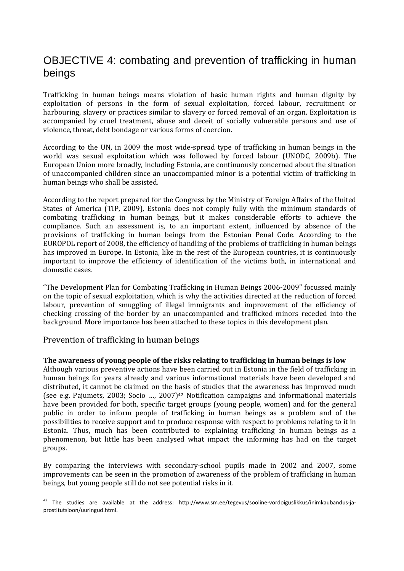# OBJECTIVE 4: combating and prevention of trafficking in human beings

Trafficking in human beings means violation of basic human rights and human dignity by exploitation of persons in the form of sexual exploitation, forced labour, recruitment or harbouring, slavery or practices similar to slavery or forced removal of an organ. Exploitation is accompanied by cruel treatment, abuse and deceit of socially vulnerable persons and use of violence, threat, debt bondage or various forms of coercion.

According to the UN, in 2009 the most wide-spread type of trafficking in human beings in the world was sexual exploitation which was followed by forced labour (UNODC, 2009b). The European Union more broadly, including Estonia, are continuously concerned about the situation of unaccompanied children since an unaccompanied minor is a potential victim of trafficking in human beings who shall be assisted.

According to the report prepared for the Congress by the Ministry of Foreign Affairs of the United States of America (TIP, 2009), Estonia does not comply fully with the minimum standards of combating trafficking in human beings, but it makes considerable efforts to achieve the compliance. Such an assessment is, to an important extent, influenced by absence of the provisions of trafficking in human beings from the Estonian Penal Code. According to the EUROPOL report of 2008, the efficiency of handling of the problems of trafficking in human beings has improved in Europe. In Estonia, like in the rest of the European countries, it is continuously important to improve the efficiency of identification of the victims both, in international and domestic cases.

"The Development Plan for Combating Trafficking in Human Beings 2006-2009" focussed mainly on the topic of sexual exploitation, which is why the activities directed at the reduction of forced labour, prevention of smuggling of illegal immigrants and improvement of the efficiency of checking crossing of the border by an unaccompanied and trafficked minors receded into the background. More importance has been attached to these topics in this development plan.

# Prevention of trafficking in human beings

l

#### **The awareness of young people of the risks relating to trafficking in human beings is low**

Although various preventive actions have been carried out in Estonia in the field of trafficking in human beings for years already and various informational materials have been developed and distributed, it cannot be claimed on the basis of studies that the awareness has improved much (see e.g. Pajumets, 2003; Socio ..., 2007)<sup>42</sup> Notification campaigns and informational materials have been provided for both, specific target groups (young people, women) and for the general public in order to inform people of trafficking in human beings as a problem and of the possibilities to receive support and to produce response with respect to problems relating to it in Estonia. Thus, much has been contributed to explaining trafficking in human beings as a phenomenon, but little has been analysed what impact the informing has had on the target groups.

By comparing the interviews with secondary-school pupils made in 2002 and 2007, some improvements can be seen in the promotion of awareness of the problem of trafficking in human beings, but young people still do not see potential risks in it.

<sup>&</sup>lt;sup>42</sup> The studies are available at the address: http://www.sm.ee/tegevus/sooline-vordoiguslikkus/inimkaubandus-japrostitutsioon/uuringud.html.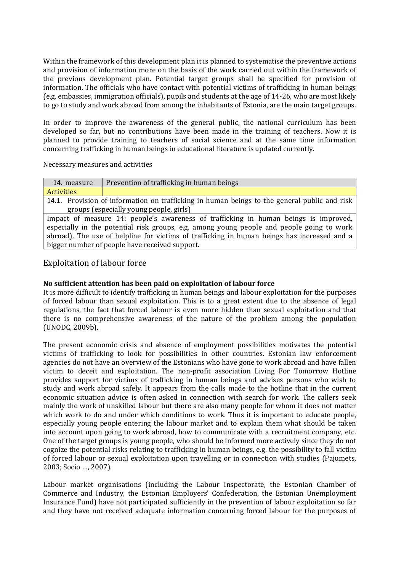Within the framework of this development plan it is planned to systematise the preventive actions and provision of information more on the basis of the work carried out within the framework of the previous development plan. Potential target groups shall be specified for provision of information. The officials who have contact with potential victims of trafficking in human beings (e.g. embassies, immigration officials), pupils and students at the age of 14-26, who are most likely to go to study and work abroad from among the inhabitants of Estonia, are the main target groups.

In order to improve the awareness of the general public, the national curriculum has been developed so far, but no contributions have been made in the training of teachers. Now it is planned to provide training to teachers of social science and at the same time information concerning trafficking in human beings in educational literature is updated currently.

Necessary measures and activities

| 14. measure                                                                                  | Prevention of trafficking in human beings |
|----------------------------------------------------------------------------------------------|-------------------------------------------|
| <b>Activities</b>                                                                            |                                           |
| 14.1. Provision of information on trafficking in human beings to the general public and risk |                                           |
| groups (especially young people, girls)                                                      |                                           |
| Impact of measure 14: people's awareness of trafficking in human beings is improved,         |                                           |
| especially in the potential risk groups, e.g. among young people and people going to work    |                                           |
| abroad). The use of helpline for victims of trafficking in human beings has increased and a  |                                           |

bigger number of people have received support.

# Exploitation of labour force

### **No sufficient attention has been paid on exploitation of labour force**

It is more difficult to identify trafficking in human beings and labour exploitation for the purposes of forced labour than sexual exploitation. This is to a great extent due to the absence of legal regulations, the fact that forced labour is even more hidden than sexual exploitation and that there is no comprehensive awareness of the nature of the problem among the population (UNODC, 2009b).

The present economic crisis and absence of employment possibilities motivates the potential victims of trafficking to look for possibilities in other countries. Estonian law enforcement agencies do not have an overview of the Estonians who have gone to work abroad and have fallen victim to deceit and exploitation. The non-profit association Living For Tomorrow Hotline provides support for victims of trafficking in human beings and advises persons who wish to study and work abroad safely. It appears from the calls made to the hotline that in the current economic situation advice is often asked in connection with search for work. The callers seek mainly the work of unskilled labour but there are also many people for whom it does not matter which work to do and under which conditions to work. Thus it is important to educate people, especially young people entering the labour market and to explain them what should be taken into account upon going to work abroad, how to communicate with a recruitment company, etc. One of the target groups is young people, who should be informed more actively since they do not cognize the potential risks relating to trafficking in human beings, e.g. the possibility to fall victim of forced labour or sexual exploitation upon travelling or in connection with studies (Pajumets, 2003; Socio …, 2007).

Labour market organisations (including the Labour Inspectorate, the Estonian Chamber of Commerce and Industry, the Estonian Employers' Confederation, the Estonian Unemployment Insurance Fund) have not participated sufficiently in the prevention of labour exploitation so far and they have not received adequate information concerning forced labour for the purposes of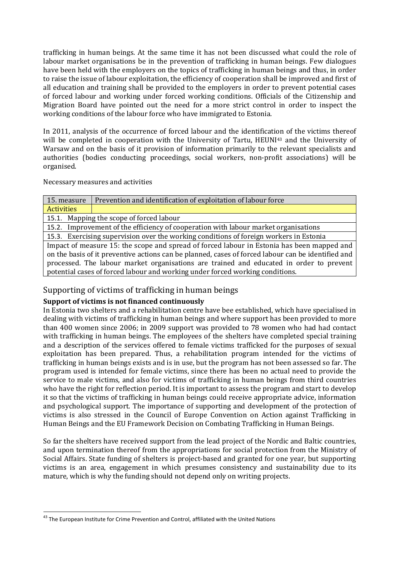trafficking in human beings. At the same time it has not been discussed what could the role of labour market organisations be in the prevention of trafficking in human beings. Few dialogues have been held with the employers on the topics of trafficking in human beings and thus, in order to raise the issue of labour exploitation, the efficiency of cooperation shall be improved and first of all education and training shall be provided to the employers in order to prevent potential cases of forced labour and working under forced working conditions. Officials of the Citizenship and Migration Board have pointed out the need for a more strict control in order to inspect the working conditions of the labour force who have immigrated to Estonia.

In 2011, analysis of the occurrence of forced labour and the identification of the victims thereof will be completed in cooperation with the University of Tartu, HEUNI<sup>43</sup> and the University of Warsaw and on the basis of it provision of information primarily to the relevant specialists and authorities (bodies conducting proceedings, social workers, non-profit associations) will be organised.

Necessary measures and activities

| 15. measure                                                                                        | Prevention and identification of exploitation of labour force |
|----------------------------------------------------------------------------------------------------|---------------------------------------------------------------|
| Activities                                                                                         |                                                               |
| 15.1. Mapping the scope of forced labour                                                           |                                                               |
| 15.2. Improvement of the efficiency of cooperation with labour market organisations                |                                                               |
| 15.3. Exercising supervision over the working conditions of foreign workers in Estonia             |                                                               |
| Impact of measure 15: the scope and spread of forced labour in Estonia has been mapped and         |                                                               |
| on the basis of it preventive actions can be planned, cases of forced labour can be identified and |                                                               |
| processed. The labour market organisations are trained and educated in order to prevent            |                                                               |

# Supporting of victims of trafficking in human beings

potential cases of forced labour and working under forced working conditions.

# **Support of victims is not financed continuously**

In Estonia two shelters and a rehabilitation centre have bee established, which have specialised in dealing with victims of trafficking in human beings and where support has been provided to more than 400 women since 2006; in 2009 support was provided to 78 women who had had contact with trafficking in human beings. The employees of the shelters have completed special training and a description of the services offered to female victims trafficked for the purposes of sexual exploitation has been prepared. Thus, a rehabilitation program intended for the victims of trafficking in human beings exists and is in use, but the program has not been assessed so far. The program used is intended for female victims, since there has been no actual need to provide the service to male victims, and also for victims of trafficking in human beings from third countries who have the right for reflection period. It is important to assess the program and start to develop it so that the victims of trafficking in human beings could receive appropriate advice, information and psychological support. The importance of supporting and development of the protection of victims is also stressed in the Council of Europe Convention on Action against Trafficking in Human Beings and the EU Framework Decision on Combating Trafficking in Human Beings.

So far the shelters have received support from the lead project of the Nordic and Baltic countries, and upon termination thereof from the appropriations for social protection from the Ministry of Social Affairs. State funding of shelters is project-based and granted for one year, but supporting victims is an area, engagement in which presumes consistency and sustainability due to its mature, which is why the funding should not depend only on writing projects.

l

 $43$  The European Institute for Crime Prevention and Control, affiliated with the United Nations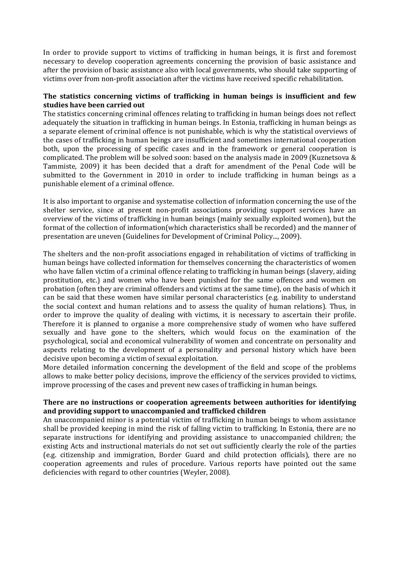In order to provide support to victims of trafficking in human beings, it is first and foremost necessary to develop cooperation agreements concerning the provision of basic assistance and after the provision of basic assistance also with local governments, who should take supporting of victims over from non-profit association after the victims have received specific rehabilitation.

#### **The statistics concerning victims of trafficking in human beings is insufficient and few studies have been carried out**

The statistics concerning criminal offences relating to trafficking in human beings does not reflect adequately the situation in trafficking in human beings. In Estonia, trafficking in human beings as a separate element of criminal offence is not punishable, which is why the statistical overviews of the cases of trafficking in human beings are insufficient and sometimes international cooperation both, upon the processing of specific cases and in the framework or general cooperation is complicated. The problem will be solved soon: based on the analysis made in 2009 (Kuznetsova & Tammiste, 2009) it has been decided that a draft for amendment of the Penal Code will be submitted to the Government in 2010 in order to include trafficking in human beings as a punishable element of a criminal offence.

It is also important to organise and systematise collection of information concerning the use of the shelter service, since at present non-profit associations providing support services have an overview of the victims of trafficking in human beings (mainly sexually exploited women), but the format of the collection of information(which characteristics shall be recorded) and the manner of presentation are uneven (Guidelines for Development of Criminal Policy..., 2009).

The shelters and the non-profit associations engaged in rehabilitation of victims of trafficking in human beings have collected information for themselves concerning the characteristics of women who have fallen victim of a criminal offence relating to trafficking in human beings (slavery, aiding prostitution, etc.) and women who have been punished for the same offences and women on probation (often they are criminal offenders and victims at the same time), on the basis of which it can be said that these women have similar personal characteristics (e.g. inability to understand the social context and human relations and to assess the quality of human relations). Thus, in order to improve the quality of dealing with victims, it is necessary to ascertain their profile. Therefore it is planned to organise a more comprehensive study of women who have suffered sexually and have gone to the shelters, which would focus on the examination of the psychological, social and economical vulnerability of women and concentrate on personality and aspects relating to the development of a personality and personal history which have been decisive upon becoming a victim of sexual exploitation.

More detailed information concerning the development of the field and scope of the problems allows to make better policy decisions, improve the efficiency of the services provided to victims, improve processing of the cases and prevent new cases of trafficking in human beings.

#### **There are no instructions or cooperation agreements between authorities for identifying and providing support to unaccompanied and trafficked children**

An unaccompanied minor is a potential victim of trafficking in human beings to whom assistance shall be provided keeping in mind the risk of falling victim to trafficking. In Estonia, there are no separate instructions for identifying and providing assistance to unaccompanied children; the existing Acts and instructional materials do not set out sufficiently clearly the role of the parties (e.g. citizenship and immigration, Border Guard and child protection officials), there are no cooperation agreements and rules of procedure. Various reports have pointed out the same deficiencies with regard to other countries (Weyler, 2008).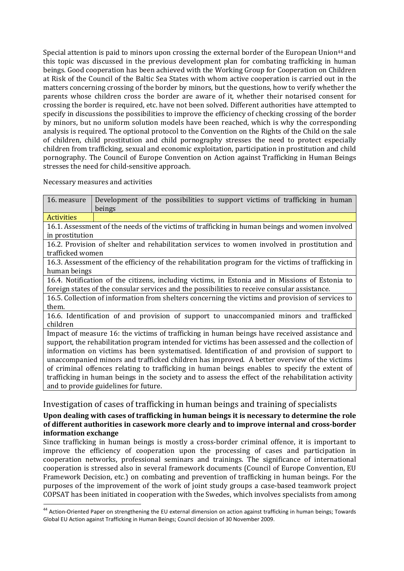Special attention is paid to minors upon crossing the external border of the European Union<sup>44</sup> and this topic was discussed in the previous development plan for combating trafficking in human beings. Good cooperation has been achieved with the Working Group for Cooperation on Children at Risk of the Council of the Baltic Sea States with whom active cooperation is carried out in the matters concerning crossing of the border by minors, but the questions, how to verify whether the parents whose children cross the border are aware of it, whether their notarised consent for crossing the border is required, etc. have not been solved. Different authorities have attempted to specify in discussions the possibilities to improve the efficiency of checking crossing of the border by minors, but no uniform solution models have been reached, which is why the corresponding analysis is required. The optional protocol to the Convention on the Rights of the Child on the sale of children, child prostitution and child pornography stresses the need to protect especially children from trafficking, sexual and economic exploitation, participation in prostitution and child pornography. The Council of Europe Convention on Action against Trafficking in Human Beings stresses the need for child-sensitive approach.

Necessary measures and activities

 $\overline{a}$ 

| 16. measure                                                                                        | Development of the possibilities to support victims of trafficking in human<br>beings              |  |
|----------------------------------------------------------------------------------------------------|----------------------------------------------------------------------------------------------------|--|
| <b>Activities</b>                                                                                  |                                                                                                    |  |
| 16.1. Assessment of the needs of the victims of trafficking in human beings and women involved     |                                                                                                    |  |
| in prostitution                                                                                    |                                                                                                    |  |
|                                                                                                    | 16.2. Provision of shelter and rehabilitation services to women involved in prostitution and       |  |
| trafficked women                                                                                   |                                                                                                    |  |
|                                                                                                    | 16.3. Assessment of the efficiency of the rehabilitation program for the victims of trafficking in |  |
| human beings                                                                                       |                                                                                                    |  |
| 16.4. Notification of the citizens, including victims, in Estonia and in Missions of Estonia to    |                                                                                                    |  |
|                                                                                                    | foreign states of the consular services and the possibilities to receive consular assistance.      |  |
| 16.5. Collection of information from shelters concerning the victims and provision of services to  |                                                                                                    |  |
| them.                                                                                              |                                                                                                    |  |
|                                                                                                    | 16.6. Identification of and provision of support to unaccompanied minors and trafficked            |  |
| children                                                                                           |                                                                                                    |  |
|                                                                                                    | Impact of measure 16: the victims of trafficking in human beings have received assistance and      |  |
| support, the rehabilitation program intended for victims has been assessed and the collection of   |                                                                                                    |  |
| information on victims has been systematised. Identification of and provision of support to        |                                                                                                    |  |
| unaccompanied minors and trafficked children has improved. A better overview of the victims        |                                                                                                    |  |
| of criminal offences relating to trafficking in human beings enables to specify the extent of      |                                                                                                    |  |
| trafficking in human beings in the society and to assess the effect of the rehabilitation activity |                                                                                                    |  |
|                                                                                                    | and to provide guidelines for future.                                                              |  |

Investigation of cases of trafficking in human beings and training of specialists

# **Upon dealing with cases of trafficking in human beings it is necessary to determine the role of different authorities in casework more clearly and to improve internal and cross-border information exchange**

Since trafficking in human beings is mostly a cross-border criminal offence, it is important to improve the efficiency of cooperation upon the processing of cases and participation in cooperation networks, professional seminars and trainings. The significance of international cooperation is stressed also in several framework documents (Council of Europe Convention, EU Framework Decision, etc.) on combating and prevention of trafficking in human beings. For the purposes of the improvement of the work of joint study groups a case-based teamwork project COPSAT has been initiated in cooperation with the Swedes, which involves specialists from among

<sup>44</sup> Action-Oriented Paper on strengthening the EU external dimension on action against trafficking in human beings; Towards Global EU Action against Trafficking in Human Beings; Council decision of 30 November 2009.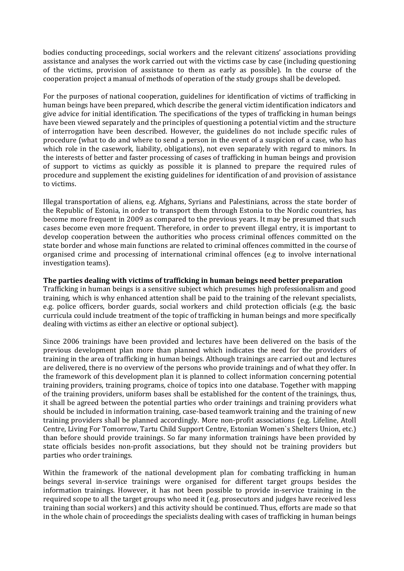bodies conducting proceedings, social workers and the relevant citizens' associations providing assistance and analyses the work carried out with the victims case by case (including questioning of the victims, provision of assistance to them as early as possible). In the course of the cooperation project a manual of methods of operation of the study groups shall be developed.

For the purposes of national cooperation, guidelines for identification of victims of trafficking in human beings have been prepared, which describe the general victim identification indicators and give advice for initial identification. The specifications of the types of trafficking in human beings have been viewed separately and the principles of questioning a potential victim and the structure of interrogation have been described. However, the guidelines do not include specific rules of procedure (what to do and where to send a person in the event of a suspicion of a case, who has which role in the casework, liability, obligations), not even separately with regard to minors. In the interests of better and faster processing of cases of trafficking in human beings and provision of support to victims as quickly as possible it is planned to prepare the required rules of procedure and supplement the existing guidelines for identification of and provision of assistance to victims.

Illegal transportation of aliens, e.g. Afghans, Syrians and Palestinians, across the state border of the Republic of Estonia, in order to transport them through Estonia to the Nordic countries, has become more frequent in 2009 as compared to the previous years. It may be presumed that such cases become even more frequent. Therefore, in order to prevent illegal entry, it is important to develop cooperation between the authorities who process criminal offences committed on the state border and whose main functions are related to criminal offences committed in the course of organised crime and processing of international criminal offences (e.g to involve international investigation teams).

#### **The parties dealing with victims of trafficking in human beings need better preparation**

Trafficking in human beings is a sensitive subject which presumes high professionalism and good training, which is why enhanced attention shall be paid to the training of the relevant specialists, e.g. police officers, border guards, social workers and child protection officials (e.g. the basic curricula could include treatment of the topic of trafficking in human beings and more specifically dealing with victims as either an elective or optional subject).

Since 2006 trainings have been provided and lectures have been delivered on the basis of the previous development plan more than planned which indicates the need for the providers of training in the area of trafficking in human beings. Although trainings are carried out and lectures are delivered, there is no overview of the persons who provide trainings and of what they offer. In the framework of this development plan it is planned to collect information concerning potential training providers, training programs, choice of topics into one database. Together with mapping of the training providers, uniform bases shall be established for the content of the trainings, thus, it shall be agreed between the potential parties who order trainings and training providers what should be included in information training, case-based teamwork training and the training of new training providers shall be planned accordingly. More non-profit associations (e.g. Lifeline, Atoll Centre, Living For Tomorrow, Tartu Child Support Centre, Estonian Women`s Shelters Union, etc.) than before should provide trainings. So far many information trainings have been provided by state officials besides non-profit associations, but they should not be training providers but parties who order trainings.

Within the framework of the national development plan for combating trafficking in human beings several in-service trainings were organised for different target groups besides the information trainings. However, it has not been possible to provide in-service training in the required scope to all the target groups who need it (e.g. prosecutors and judges have received less training than social workers) and this activity should be continued. Thus, efforts are made so that in the whole chain of proceedings the specialists dealing with cases of trafficking in human beings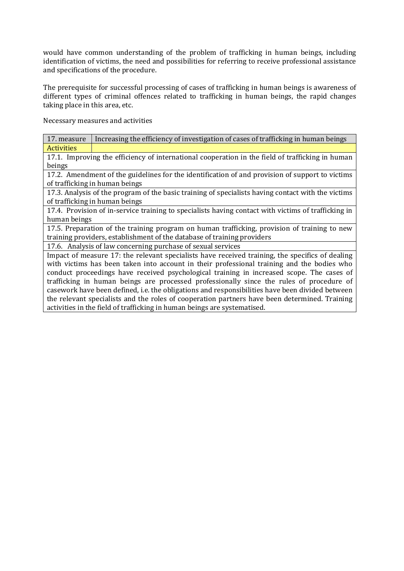would have common understanding of the problem of trafficking in human beings, including identification of victims, the need and possibilities for referring to receive professional assistance and specifications of the procedure.

The prerequisite for successful processing of cases of trafficking in human beings is awareness of different types of criminal offences related to trafficking in human beings, the rapid changes taking place in this area, etc.

Necessary measures and activities

| 17. measure                                                                                         | Increasing the efficiency of investigation of cases of trafficking in human beings               |  |
|-----------------------------------------------------------------------------------------------------|--------------------------------------------------------------------------------------------------|--|
| <b>Activities</b>                                                                                   |                                                                                                  |  |
|                                                                                                     | 17.1. Improving the efficiency of international cooperation in the field of trafficking in human |  |
| beings                                                                                              |                                                                                                  |  |
|                                                                                                     | 17.2. Amendment of the guidelines for the identification of and provision of support to victims  |  |
| of trafficking in human beings                                                                      |                                                                                                  |  |
| 17.3. Analysis of the program of the basic training of specialists having contact with the victims  |                                                                                                  |  |
| of trafficking in human beings                                                                      |                                                                                                  |  |
| 17.4. Provision of in-service training to specialists having contact with victims of trafficking in |                                                                                                  |  |
| human beings                                                                                        |                                                                                                  |  |
| 17.5. Preparation of the training program on human trafficking, provision of training to new        |                                                                                                  |  |
| training providers, establishment of the database of training providers                             |                                                                                                  |  |
| 17.6. Analysis of law concerning purchase of sexual services                                        |                                                                                                  |  |
| Impact of measure 17: the relevant specialists have received training, the specifics of dealing     |                                                                                                  |  |
| with victims has been taken into account in their professional training and the bodies who          |                                                                                                  |  |
| conduct proceedings have received psychological training in increased scope. The cases of           |                                                                                                  |  |
| trafficking in human beings are processed professionally since the rules of procedure of            |                                                                                                  |  |
| casework have been defined, i.e. the obligations and responsibilities have been divided between     |                                                                                                  |  |
|                                                                                                     | the relevant specialists and the roles of cooperation partners have been determined. Training    |  |

activities in the field of trafficking in human beings are systematised.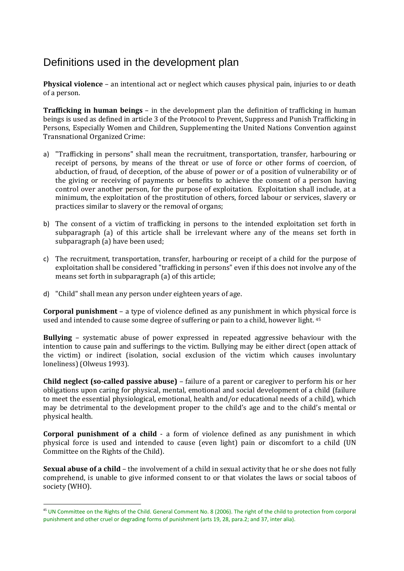# Definitions used in the development plan

**Physical violence** – an intentional act or neglect which causes physical pain, injuries to or death of a person.

**Trafficking in human beings** – in the development plan the definition of trafficking in human beings is used as defined in article 3 of the Protocol to Prevent, Suppress and Punish Trafficking in Persons, Especially Women and Children, Supplementing the United Nations Convention against Transnational Organized Crime:

- a) "Trafficking in persons" shall mean the recruitment, transportation, transfer, harbouring or receipt of persons, by means of the threat or use of force or other forms of coercion, of abduction, of fraud, of deception, of the abuse of power or of a position of vulnerability or of the giving or receiving of payments or benefits to achieve the consent of a person having control over another person, for the purpose of exploitation. Exploitation shall include, at a minimum, the exploitation of the prostitution of others, forced labour or services, slavery or practices similar to slavery or the removal of organs;
- b) The consent of a victim of trafficking in persons to the intended exploitation set forth in subparagraph (a) of this article shall be irrelevant where any of the means set forth in subparagraph (a) have been used;
- c) The recruitment, transportation, transfer, harbouring or receipt of a child for the purpose of exploitation shall be considered "trafficking in persons" even if this does not involve any of the means set forth in subparagraph (a) of this article;
- d) "Child" shall mean any person under eighteen years of age.

 $\overline{a}$ 

**Corporal punishment** – a type of violence defined as any punishment in which physical force is used and intended to cause some degree of suffering or pain to a child, however light. <sup>45</sup>

**Bullying** – systematic abuse of power expressed in repeated aggressive behaviour with the intention to cause pain and sufferings to the victim. Bullying may be either direct (open attack of the victim) or indirect (isolation, social exclusion of the victim which causes involuntary loneliness) (Olweus 1993).

**Child neglect (so-called passive abuse)** – failure of a parent or caregiver to perform his or her obligations upon caring for physical, mental, emotional and social development of a child (failure to meet the essential physiological, emotional, health and/or educational needs of a child), which may be detrimental to the development proper to the child's age and to the child's mental or physical health.

**Corporal punishment of a child** - a form of violence defined as any punishment in which physical force is used and intended to cause (even light) pain or discomfort to a child (UN Committee on the Rights of the Child).

**Sexual abuse of a child** – the involvement of a child in sexual activity that he or she does not fully comprehend, is unable to give informed consent to or that violates the laws or social taboos of society (WHO).

<sup>&</sup>lt;sup>45</sup> UN Committee on the Rights of the Child. General Comment No. 8 (2006). The right of the child to protection from corporal punishment and other cruel or degrading forms of punishment (arts 19, 28, para.2; and 37, inter alia).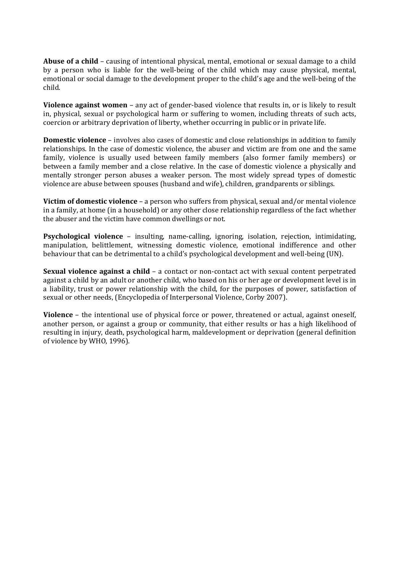**Abuse of a child** – causing of intentional physical, mental, emotional or sexual damage to a child by a person who is liable for the well-being of the child which may cause physical, mental, emotional or social damage to the development proper to the child's age and the well-being of the child.

**Violence against women** – any act of gender-based violence that results in, or is likely to result in, physical, sexual or psychological harm or suffering to women, including threats of such acts, coercion or arbitrary deprivation of liberty, whether occurring in public or in private life.

**Domestic violence** – involves also cases of domestic and close relationships in addition to family relationships. In the case of domestic violence, the abuser and victim are from one and the same family, violence is usually used between family members (also former family members) or between a family member and a close relative. In the case of domestic violence a physically and mentally stronger person abuses a weaker person. The most widely spread types of domestic violence are abuse between spouses (husband and wife), children, grandparents or siblings.

**Victim of domestic violence** – a person who suffers from physical, sexual and/or mental violence in a family, at home (in a household) or any other close relationship regardless of the fact whether the abuser and the victim have common dwellings or not.

**Psychological violence** – insulting, name-calling, ignoring, isolation, rejection, intimidating, manipulation, belittlement, witnessing domestic violence, emotional indifference and other behaviour that can be detrimental to a child's psychological development and well-being (UN).

**Sexual violence against a child** – a contact or non-contact act with sexual content perpetrated against a child by an adult or another child, who based on his or her age or development level is in a liability, trust or power relationship with the child, for the purposes of power, satisfaction of sexual or other needs, (Encyclopedia of Interpersonal Violence, Corby 2007).

**Violence** – the intentional use of physical force or power, threatened or actual, against oneself, another person, or against a group or community, that either results or has a high likelihood of resulting in injury, death, psychological harm, maldevelopment or deprivation (general definition of violence by WHO, 1996).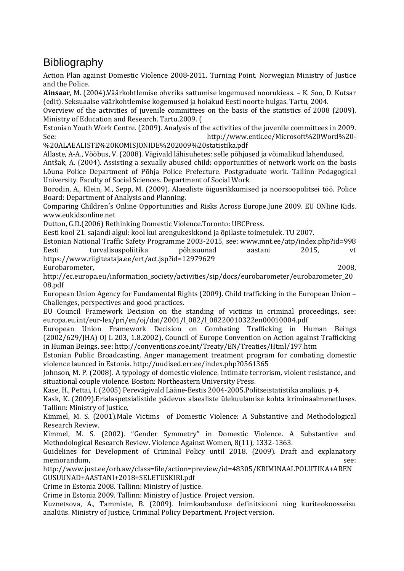# **Bibliography**

Action Plan against Domestic Violence 2008-2011. Turning Point. Norwegian Ministry of Justice and the Police.

**Ainsaar**, M. (2004).Väärkohtlemise ohvriks sattumise kogemused noorukieas. – K. Soo, D. Kutsar (edit). Seksuaalse väärkohtlemise kogemused ja hoiakud Eesti noorte hulgas. Tartu, 2004.

Overview of the activities of juvenile committees on the basis of the statistics of 2008 (2009). Ministry of Education and Research. Tartu.2009. (

Estonian Youth Work Centre. (2009). Analysis of the activities of the juvenile committees in 2009. See: http://www.entk.ee/Microsoft%20Word%20-

%20ALAEALISTE%20KOMISJONIDE%202009%20statistika.pdf

Allaste, A-A., Võõbus, V. (2008). Vägivald lähisuhetes: selle põhjused ja võimalikud lahendused.

Antšak, A. (2004). Assisting a sexually abused child: opportunities of network work on the basis Lõuna Police Department of Põhja Police Prefecture. Postgraduate work. Tallinn Pedagogical University. Faculty of Social Sciences. Department of Social Work.

Borodin, A., Klein, M., Sepp, M. (2009). Alaealiste õigusrikkumised ja noorsoopolitsei töö. Police Board: Department of Analysis and Planning.

Comparing Children´s Online Opportunities and Risks Across Europe.June 2009. EU ONline Kids. www.eukidsonline.net

Dutton, G.D.(2006) Rethinking Domestic Violence.Toronto: UBCPress.

Eesti kool 21. sajandi algul: kool kui arengukeskkond ja õpilaste toimetulek. TU 2007.

Estonian National Traffic Safety Programme 2003-2015, see: www.mnt.ee/atp/index.php?id=998 Eesti turvalisuspoliitika põhisuunad aastani 2015, vt https://www.riigiteataja.ee/ert/act.jsp?id=12979629

Eurobarometer, 2008,

http://ec.europa.eu/information\_society/activities/sip/docs/eurobarometer/eurobarometer\_20 08.pdf

European Union Agency for Fundamental Rights (2009). Child trafficking in the European Union – Challenges, perspectives and good practices.

EU Council Framework Decision on the standing of victims in criminal proceedings, see: europa.eu.int/eur-lex/pri/en/oj/dat/2001/l\_082/l\_08220010322en00010004.pdf

European Union Framework Decision on Combating Trafficking in Human Beings (2002/629/JHA) OJ L 203, 1.8.2002), Council of Europe Convention on Action against Trafficking in Human Beings, see: http://conventions.coe.int/Treaty/EN/Treaties/Html/197.htm

Estonian Public Broadcasting. Anger management treatment program for combating domestic violence launced in Estonia. http://uudised.err.ee/index.php?0561365

Johnson, M. P. (2008). A typology of domestic violence. Intimate terrorism, violent resistance, and situational couple violence. Boston: Northeastern University Press.

Kase, H., Pettai, I. (2005) Perevägivald Lääne-Eestis 2004-2005.Politseistatistika analüüs. p 4.

Kask, K. (2009).Erialaspetsialistide pädevus alaealiste ülekuulamise kohta kriminaalmenetluses. Tallinn: Ministry of Justice.

Kimmel, M. S. (2001).Male Victims of Domestic Violence: A Substantive and Methodological Research Review.

Kimmel, M. S. (2002). "Gender Symmetry" in Domestic Violence. A Substantive and Methodological Research Review. Violence Against Women, 8(11), 1332-1363.

Guidelines for Development of Criminal Policy until 2018. (2009). Draft and explanatory memorandum, see:

http://www.just.ee/orb.aw/class=file/action=preview/id=48305/KRIMINAALPOLIITIKA+AREN GUSUUNAD+AASTANI+2018+SELETUSKIRI.pdf

Crime in Estonia 2008. Tallinn: Ministry of Justice.

Crime in Estonia 2009. Tallinn: Ministry of Justice. Project version.

Kuznetsova, A., Tammiste, B. (2009). Inimkaubanduse definitsiooni ning kuriteokoosseisu analüüs. Ministry of Justice, Criminal Policy Department. Project version.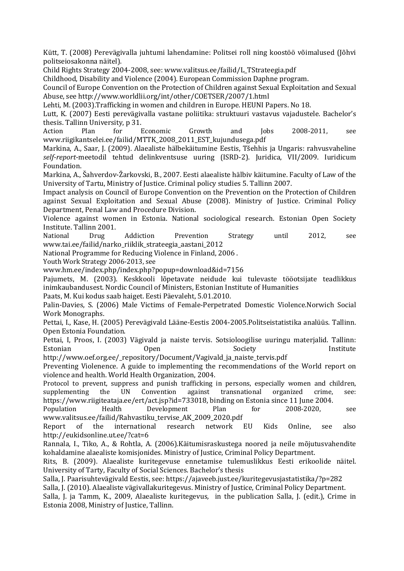Kütt, T. (2008) Perevägivalla juhtumi lahendamine: Politsei roll ning koostöö võimalused (Jõhvi politseiosakonna näitel).

Child Rights Strategy 2004-2008, see: www.valitsus.ee/failid/L\_TStrateegia.pdf

Childhood, Disability and Violence (2004). European Commission Daphne program.

Council of Europe Convention on the Protection of Children against Sexual Exploitation and Sexual Abuse, see http://www.worldlii.org/int/other/COETSER/2007/1.html

Lehti, M. (2003).Trafficking in women and children in Europe. HEUNI Papers. No 18.

Lutt, K. (2007) Eesti perevägivalla vastane poliitika: struktuuri vastavus vajadustele. Bachelor's thesis. Tallinn University, p 31.

Action Plan for Economic Growth and Jobs 2008-2011, see www.riigikantselei.ee/failid/MTTK\_2008\_2011\_EST\_kujundusega.pdf

Markina, A., Saar, J. (2009). Alaealiste hälbekäitumine Eestis, Tšehhis ja Ungaris: rahvusvaheline *self-report*-meetodil tehtud delinkventsuse uuring (ISRD-2). Juridica, VII/2009. Iuridicum Foundation.

Markina, A., Šahverdov-Žarkovski, B., 2007. Eesti alaealiste hälbiv käitumine. Faculty of Law of the University of Tartu, Ministry of Justice. Criminal policy studies 5. Tallinn 2007.

Impact analysis on Council of Europe Convention on the Prevention on the Protection of Children against Sexual Exploitation and Sexual Abuse (2008). Ministry of Justice. Criminal Policy Department, Penal Law and Procedure Division.

Violence against women in Estonia. National sociological research. Estonian Open Society Institute. Tallinn 2001.

National Drug Addiction Prevention Strategy until 2012, see www.tai.ee/failid/narko\_riiklik\_strateegia\_aastani\_2012

National Programme for Reducing Violence in Finland, 2006 .

Youth Work Strategy 2006-2013, see

www.hm.ee/index.php/index.php?popup=download&id=7156

Pajumets, M. (2003). Keskkooli lõpetavate neidude kui tulevaste tööotsijate teadlikkus inimkaubandusest. Nordic Council of Ministers, Estonian Institute of Humanities

Paats, M. Kui kodus saab haiget. Eesti Päevaleht, 5.01.2010.

Palin-Davies, S. (2006) Male Victims of Female-Perpetrated Domestic Violence.Norwich Social Work Monographs.

Pettai, I., Kase, H. (2005) Perevägivald Lääne-Eestis 2004-2005.Politseistatistika analüüs. Tallinn. Open Estonia Foundation.

Pettai, I, Proos, I. (2003) Vägivald ja naiste tervis. Sotsioloogilise uuringu materjalid. Tallinn: Estonian Open Society Institute

http://www.oef.org.ee/\_repository/Document/Vagivald\_ja\_naiste\_tervis.pdf

Preventing Violenence. A guide to implementing the recommendations of the World report on violence and health. World Health Organization, 2004.

Protocol to prevent, suppress and punish trafficking in persons, especially women and children, supplementing the UN Convention against transnational organized crime, see: https://www.riigiteataja.ee/ert/act.jsp?id=733018, binding on Estonia since 11 June 2004.

Population Health Development Plan for 2008-2020, see www.valitsus.ee/failid/Rahvastiku\_tervise\_AK\_2009\_2020.pdf

Report of the international research network EU Kids Online, see also http://eukidsonline.ut.ee/?cat=6

Rannala, I., Tiko, A., & Rohtla, A. (2006).Käitumisraskustega noored ja neile mõjutusvahendite kohaldamine alaealiste komisjonides*.* Ministry of Justice, Criminal Policy Department.

Rits, B. (2009). Alaealiste kuritegevuse ennetamise tulemuslikkus Eesti erikoolide näitel. University of Tarty, Faculty of Social Sciences. Bachelor's thesis

Salla, J. Paarisuhtevägivald Eestis, see: https://ajaveeb.just.ee/kuritegevusjastatistika/?p=282

Salla, J. (2010). Alaealiste vägivallakuritegevus. Ministry of Justice, Criminal Policy Department.

Salla, J. ja Tamm, K., 2009, Alaealiste kuritegevus*,* in the publication Salla, J. (edit.), Crime in Estonia 2008, Ministry of Justice, Tallinn.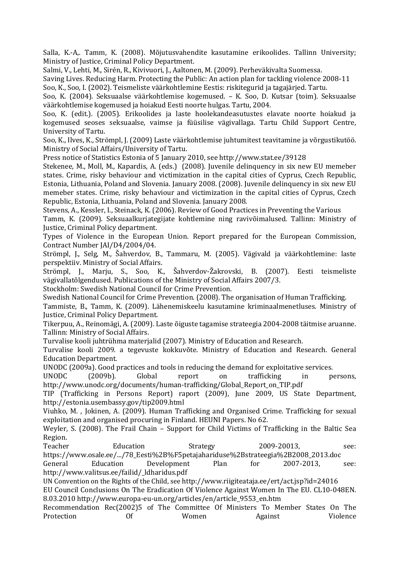Salla, K.-A,. Tamm, K. (2008). Mõjutusvahendite kasutamine erikoolides. Tallinn University; Ministry of Justice, Criminal Policy Department.

Salmi, V., Lehti, M., Sirén, R., Kivivuori, J., Aaltonen, M. (2009). Perheväkivalta Suomessa.

Saving Lives. Reducing Harm. Protecting the Public: An action plan for tackling violence 2008-11 Soo, K., Soo, I. (2002). Teismeliste väärkohtlemine Eestis: riskitegurid ja tagajärjed. Tartu.

Soo, K. (2004). Seksuaalse väärkohtlemise kogemused. – K. Soo, D. Kutsar (toim). Seksuaalse väärkohtlemise kogemused ja hoiakud Eesti noorte hulgas. Tartu, 2004.

Soo, K. (edit.). (2005). Erikoolides ja laste hoolekandeasutustes elavate noorte hoiakud ja kogemused seoses seksuaalse, vaimse ja füüsilise vägivallaga. Tartu Child Support Centre, University of Tartu.

Soo, K., Ilves, K., Strömpl, J. (2009) Laste väärkohtlemise juhtumitest teavitamine ja võrgustikutöö. Ministry of Social Affairs/University of Tartu.

Press notice of Statistics Estonia of 5 January 2010, see http://www.stat.ee/39128

Stekenee, M., Moll, M., Kapardis, A. (eds.) (2008). Juvenile delinquency in six new EU memeber states. Crime, risky behaviour and victimization in the capital cities of Cyprus, Czech Republic, Estonia, Lithuania, Poland and Slovenia. January 2008. (2008). Juvenile delinquency in six new EU memeber states. Crime, risky behaviour and victimization in the capital cities of Cyprus, Czech Republic, Estonia, Lithuania, Poland and Slovenia. January 2008.

Stevens, A., Kessler, I., Steinack, K. (2006). Review of Good Practices in Preventing the Various

Tamm, K. (2009). Seksuaalkurjategijate kohtlemine ning ravivõimalused*.* Tallinn: Ministry of Justice, Criminal Policy department.

Types of Violence in the European Union. Report prepared for the European Commission, Contract Number JAI/D4/2004/04.

Strömpl, J., Selg, M., Šahverdov, B., Tammaru, M. (2005). Vägivald ja väärkohtlemine: laste perspektiiv. Ministry of Social Affairs.

Strömpl, J., Marju, S., Soo, K., Šahverdov-Žakrovski, B. (2007). Eesti teismeliste vägivallatõlgendused. Publications of the Ministry of Social Affairs 2007/3.

Stockholm: Swedish National Council for Crime Prevention.

Swedish National Council for Crime Prevention. (2008). The organisation of Human Trafficking.

Tammiste, B., Tamm, K. (2009). Lähenemiskeelu kasutamine kriminaalmenetluses. Ministry of Justice, Criminal Policy Department.

Tikerpuu, A., Reinomägi, A. (2009). Laste õiguste tagamise strateegia 2004-2008 täitmise aruanne. Tallinn: Ministry of Social Affairs.

Turvalise kooli juhtrühma materjalid (2007). Ministry of Education and Research.

Turvalise kooli 2009. a tegevuste kokkuvõte. Ministry of Education and Research. General Education Department.

UNODC (2009a). Good practices and tools in reducing the demand for exploitative services.

UNODC (2009b). Global report on trafficking in persons, http://www.unodc.org/documents/human-trafficking/Global\_Report\_on\_TIP.pdf

TIP (Trafficking in Persons Report) raport (2009), June 2009, US State Department, http://estonia.usembassy.gov/tip2009.html

Viuhko, M. , Jokinen, A. (2009). Human Trafficking and Organised Crime. Trafficking for sexual exploitation and organised procuring in Finland. HEUNI Papers. No 62.

Weyler, S. (2008). The Frail Chain – Support for Child Victims of Trafficking in the Baltic Sea Region.

Teacher Education Strategy 2009-20013, see: https://www.osale.ee/.../78\_Eesti%2B%F5petajahariduse%2Bstrateegia%2B2008\_2013.doc

General Education Development Plan for 2007-2013, see: http://www.valitsus.ee/failid/\_ldharidus.pdf

UN Convention on the Rights of the Child, see http://www.riigiteataja.ee/ert/act.jsp?id=24016

EU Council Conclusions On The Eradication Of Violence Against Women In The EU. CL10-048EN. 8.03.2010 http://www.europa-eu-un.org/articles/en/article\_9553\_en.htm

Recommendation Rec(2002)5 of The Committee Of Ministers To Member States On The Protection Of Women Against Violence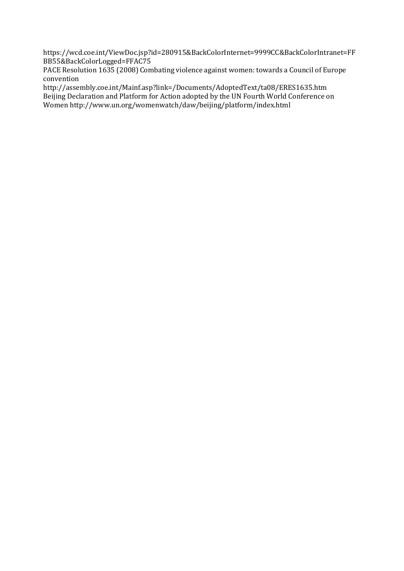https://wcd.coe.int/ViewDoc.jsp?id=280915&BackColorInternet=9999CC&BackColorIntranet=FF BB55&BackColorLogged=FFAC75

PACE Resolution 1635 (2008) Combating violence against women: towards a Council of Europe convention

http://assembly.coe.int/Mainf.asp?link=/Documents/AdoptedText/ta08/ERES1635.htm Beijing Declaration and Platform for Action adopted by the UN Fourth World Conference on Women http://www.un.org/womenwatch/daw/beijing/platform/index.html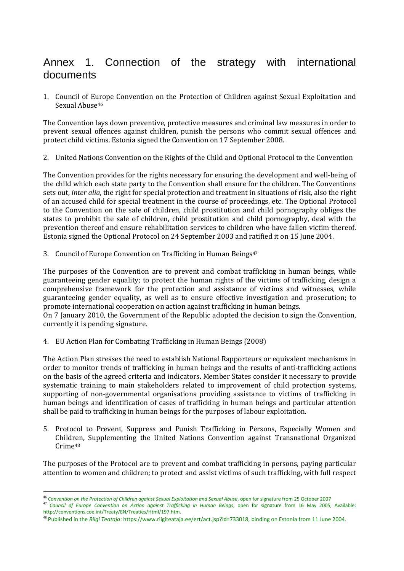# Annex 1. Connection of the strategy with international documents

1. Council of Europe Convention on the Protection of Children against Sexual Exploitation and Sexual Abuse<sup>46</sup>

The Convention lays down preventive, protective measures and criminal law measures in order to prevent sexual offences against children, punish the persons who commit sexual offences and protect child victims. Estonia signed the Convention on 17 September 2008.

2. United Nations Convention on the Rights of the Child and Optional Protocol to the Convention

The Convention provides for the rights necessary for ensuring the development and well-being of the child which each state party to the Convention shall ensure for the children. The Conventions sets out, *inter alia*, the right for special protection and treatment in situations of risk, also the right of an accused child for special treatment in the course of proceedings, etc. The Optional Protocol to the Convention on the sale of children, child prostitution and child pornography obliges the states to prohibit the sale of children, child prostitution and child pornography, deal with the prevention thereof and ensure rehabilitation services to children who have fallen victim thereof. Estonia signed the Optional Protocol on 24 September 2003 and ratified it on 15 June 2004.

3. Council of Europe Convention on Trafficking in Human Beings<sup>47</sup>

The purposes of the Convention are to prevent and combat trafficking in human beings, while guaranteeing gender equality; to protect the human rights of the victims of trafficking, design a comprehensive framework for the protection and assistance of victims and witnesses, while guaranteeing gender equality, as well as to ensure effective investigation and prosecution; to promote international cooperation on action against trafficking in human beings.

On 7 January 2010, the Government of the Republic adopted the decision to sign the Convention, currently it is pending signature.

4. EU Action Plan for Combating Trafficking in Human Beings (2008)

The Action Plan stresses the need to establish National Rapporteurs or equivalent mechanisms in order to monitor trends of trafficking in human beings and the results of anti-trafficking actions on the basis of the agreed criteria and indicators. Member States consider it necessary to provide systematic training to main stakeholders related to improvement of child protection systems, supporting of non-governmental organisations providing assistance to victims of trafficking in human beings and identification of cases of trafficking in human beings and particular attention shall be paid to trafficking in human beings for the purposes of labour exploitation.

5. Protocol to Prevent, Suppress and Punish Trafficking in Persons, Especially Women and Children, Supplementing the United Nations Convention against Transnational Organized Crime<sup>48</sup>

The purposes of the Protocol are to prevent and combat trafficking in persons, paying particular attention to women and children; to protect and assist victims of such trafficking, with full respect

 $\overline{\phantom{0}}$ <sup>46</sup> *Convention on the Protection of Children against Sexual Exploitation and Sexual Abuse*, open for signature from 25 October 2007

<sup>47</sup> *Council of Europe Convention on Action against Trafficking in Human Beings*, open for signature from 16 May 2005, Available: http://conventions.coe.int/Treaty/EN/Treaties/Html/197.htm.

<sup>48</sup> Published in the *Riigi Teataja*: https://www.riigiteataja.ee/ert/act.jsp?id=733018, binding on Estonia from 11 June 2004.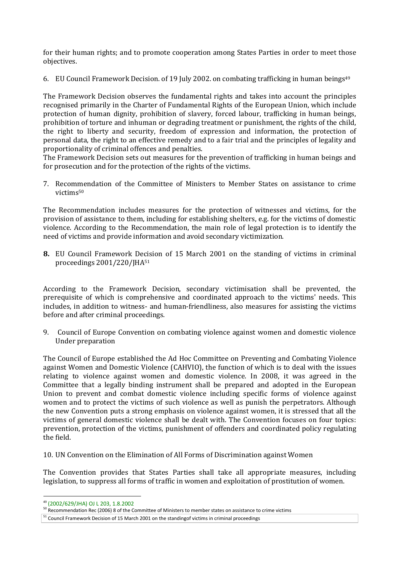for their human rights; and to promote cooperation among States Parties in order to meet those objectives.

6. EU Council Framework Decision. of 19 July 2002. on combating trafficking in human beings<sup>49</sup>

The Framework Decision observes the fundamental rights and takes into account the principles recognised primarily in the Charter of Fundamental Rights of the European Union, which include protection of human dignity, prohibition of slavery, forced labour, trafficking in human beings, prohibition of torture and inhuman or degrading treatment or punishment, the rights of the child, the right to liberty and security, freedom of expression and information, the protection of personal data, the right to an effective remedy and to a fair trial and the principles of legality and proportionality of criminal offences and penalties.

The Framework Decision sets out measures for the prevention of trafficking in human beings and for prosecution and for the protection of the rights of the victims.

7. Recommendation of the Committee of Ministers to Member States on assistance to crime victims<sup>50</sup>

The Recommendation includes measures for the protection of witnesses and victims, for the provision of assistance to them, including for establishing shelters, e.g. for the victims of domestic violence. According to the Recommendation, the main role of legal protection is to identify the need of victims and provide information and avoid secondary victimization.

**8.** EU Council Framework Decision of 15 March 2001 on the standing of victims in criminal proceedings 2001/220/JHA<sup>51</sup>

According to the Framework Decision, secondary victimisation shall be prevented, the prerequisite of which is comprehensive and coordinated approach to the victims' needs. This includes, in addition to witness- and human-friendliness, also measures for assisting the victims before and after criminal proceedings.

9. Council of Europe Convention on combating violence against women and domestic violence Under preparation

The Council of Europe established the Ad Hoc Committee on Preventing and Combating Violence against Women and Domestic Violence (CAHVIO), the function of which is to deal with the issues relating to violence against women and domestic violence. In 2008, it was agreed in the Committee that a legally binding instrument shall be prepared and adopted in the European Union to prevent and combat domestic violence including specific forms of violence against women and to protect the victims of such violence as well as punish the perpetrators. Although the new Convention puts a strong emphasis on violence against women, it is stressed that all the victims of general domestic violence shall be dealt with. The Convention focuses on four topics: prevention, protection of the victims, punishment of offenders and coordinated policy regulating the field.

10. UN Convention on the Elimination of All Forms of Discrimination against Women

The Convention provides that States Parties shall take all appropriate measures, including legislation, to suppress all forms of traffic in women and exploitation of prostitution of women.

<sup>49</sup> (2002/629/JHA) OJ L 203, 1.8.2002

<sup>&</sup>lt;sup>50</sup> Recommendation Rec (2006) 8 of the Committee of Ministers to member states on assistance to crime victims

 $51$  Council Framework Decision of 15 March 2001 on the standingof victims in criminal proceedings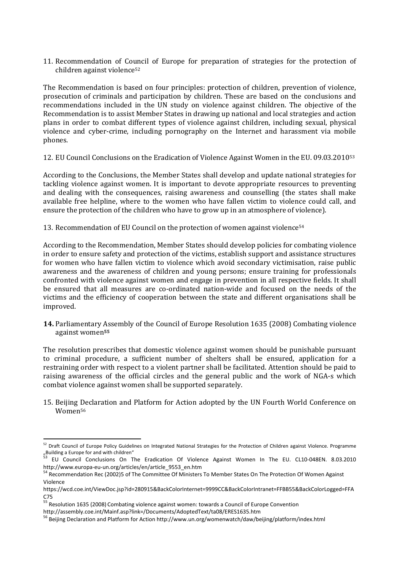11. Recommendation of Council of Europe for preparation of strategies for the protection of children against violence<sup>52</sup>

The Recommendation is based on four principles: protection of children, prevention of violence, prosecution of criminals and participation by children. These are based on the conclusions and recommendations included in the UN study on violence against children. The objective of the Recommendation is to assist Member States in drawing up national and local strategies and action plans in order to combat different types of violence against children, including sexual, physical violence and cyber-crime, including pornography on the Internet and harassment via mobile phones.

12. EU Council Conclusions on the Eradication of Violence Against Women in the EU. 09.03.2010<sup>53</sup>

According to the Conclusions, the Member States shall develop and update national strategies for tackling violence against women. It is important to devote appropriate resources to preventing and dealing with the consequences, raising awareness and counselling (the states shall make available free helpline, where to the women who have fallen victim to violence could call, and ensure the protection of the children who have to grow up in an atmosphere of violence).

13. Recommendation of EU Council on the protection of women against violence<sup>54</sup>

According to the Recommendation, Member States should develop policies for combating violence in order to ensure safety and protection of the victims, establish support and assistance structures for women who have fallen victim to violence which avoid secondary victimisation, raise public awareness and the awareness of children and young persons; ensure training for professionals confronted with violence against women and engage in prevention in all respective fields. It shall be ensured that all measures are co-ordinated nation-wide and focused on the needs of the victims and the efficiency of cooperation between the state and different organisations shall be improved.

**14.** Parliamentary Assembly of the Council of Europe Resolution 1635 (2008) Combating violence against women**<sup>55</sup>**

The resolution prescribes that domestic violence against women should be punishable pursuant to criminal procedure, a sufficient number of shelters shall be ensured, application for a restraining order with respect to a violent partner shall be facilitated. Attention should be paid to raising awareness of the official circles and the general public and the work of NGA-s which combat violence against women shall be supported separately.

15. Beijing Declaration and Platform for Action adopted by the UN Fourth World Conference on Women<sup>56</sup>

<sup>52</sup> Draft Council of Europe Policy Guidelines on Integrated National Strategies for the Protection of Children against Violence. Programme  $\frac{1}{53}$  Building a Europe for and with children"

<sup>53</sup> EU Council Conclusions On The Eradication Of Violence Against Women In The EU. CL10-048EN. 8.03.2010 http://www.europa-eu-un.org/articles/en/article\_9553\_en.htm

<sup>&</sup>lt;sup>54</sup> Recommendation Rec (2002)5 of The Committee Of Ministers To Member States On The Protection Of Women Against Violence

https://wcd.coe.int/ViewDoc.jsp?id=280915&BackColorInternet=9999CC&BackColorIntranet=FFBB55&BackColorLogged=FFA C75

<sup>55</sup> Resolution 1635 (2008) Combating violence against women: towards a Council of Europe Convention

http://assembly.coe.int/Mainf.asp?link=/Documents/AdoptedText/ta08/ERES1635.htm

<sup>&</sup>lt;sup>56</sup> Beijing Declaration and Platform for Action http://www.un.org/womenwatch/daw/beijing/platform/index.html